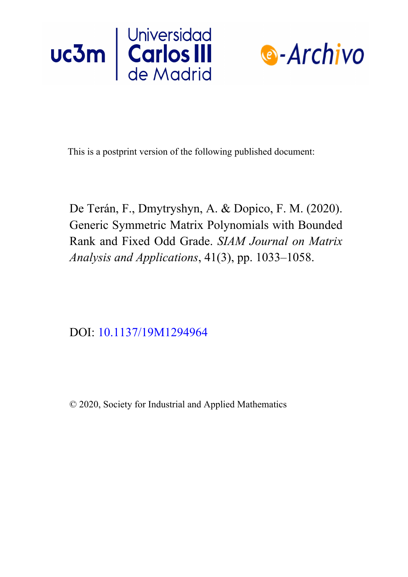



This is a postprint version of the following published document:

De Terán, F., Dmytryshyn, A. & Dopico, F. M. (2020). Generic Symmetric Matrix Polynomials with Bounded Rank and Fixed Odd Grade. *SIAM Journal on Matrix Analysis and Applications*, 41(3), pp. 1033–1058.

DOI: 10.1137/19M1294964

© 2020, Society for Industrial and Applied Mathematics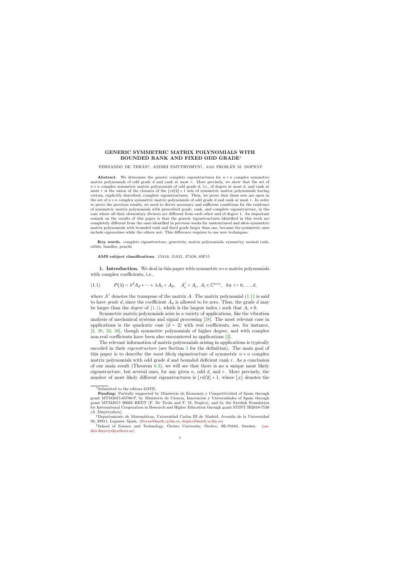## GENERIC SYMMETRIC MATRIX POLYNOMIALS WITH BOUNDED RANK AND FIXED ODD GRADE<sup>∗</sup>

## FERNANDO DE TERÁN<sup>†</sup>, ANDRII DMYTRYSHYN<sup>‡</sup>, AND FROILÁN M. DOPICO<sup>†</sup>

Abstract. We determine the generic complete eigenstructures for  $n \times n$  complex symmetric matrix polynomials of odd grade d and rank at most r. More precisely, we show that the set of  $n \times n$  complex symmetric matrix polynomials of odd grade d, i.e., of degree at most d, and rank at most r is the union of the closures of the  $\lfloor rd/2 \rfloor + 1$  sets of symmetric matrix polynomials having certain, explicitly described, complete eigenstructures. Then, we prove that these sets are open in the set of  $n \times n$  complex symmetric matrix polynomials of odd grade d and rank at most r. In order to prove the previous results, we need to derive necessary and sufficient conditions for the existence of symmetric matrix polynomials with prescribed grade, rank, and complete eigenstructure, in the case where all their elementary divisors are different from each other and of degree 1. An important remark on the results of this paper is that the generic eigenstructures identified in this work are completely different from the ones identified in previous works for unstructured and skew-symmetric matrix polynomials with bounded rank and fixed grade larger than one, because the symmetric ones include eigenvalues while the others not. This difference requires to use new techniques.

Key words. complete eigenstructure, genericity, matrix polynomials, symmetry, normal rank, orbits, bundles, pencils

AMS subject classifications. 15A18, 15A21, 47A56, 65F15

1. Introduction. We deal in this paper with symmetric  $n \times n$  matrix polynomials with complex coefficients, i.e.,

$$
(1.1) \tP(\lambda) = \lambda^d A_d + \dots + \lambda A_1 + A_0, \quad A_i^{\mathsf{T}} = A_i, \ A_i \in \mathbb{C}^{n \times n}, \text{ for } i = 0, \dots, d,
$$

where  $A^{\dagger}$  denotes the transpose of the matrix A. The matrix polynomial [\(1.1\)](#page-1-0) is said to have *grade d*, since the coefficient  $A_d$  is allowed to be zero. Thus, the grade d may be larger than the *degree* of [\(1.1\)](#page-1-0), which is the largest index i such that  $A_i \neq 0$ .

Symmetric matrix polynomials arise in a variety of applications, like the vibration analysis of mechanical systems and signal processing [\[38\]](#page-25-0). The most relevant case in applications is the quadratic case  $(d = 2)$  with real coefficients, see, for instance, [\[2,](#page-24-0) [30,](#page-25-1) [33,](#page-25-2) [38\]](#page-25-0), though symmetric polynomials of higher degree, and with complex non-real coefficients have been also encountered in applications [\[2\]](#page-24-0).

<span id="page-1-1"></span>The relevant information of matrix polynomials arising in applications is typically encoded in their eigenstructure (see Section [3](#page-6-0) for the definition). The main goal of this paper is to describe the *most likely* eigenstructure of symmetric  $n \times n$  complex matrix polynomials with odd grade  $d$  and bounded deficient rank  $r$ . As a conclusion of our main result (Theorem [6.3\)](#page-18-0), we will see that there is no a unique most likely eigenstructure, but several ones, for any given  $n$ , odd  $d$ , and  $r$ . More precisely, the number of most likely different eigenstructures is  $|rd/2|+1$ , where  $|x|$  denotes the

<sup>∗</sup>Submitted to the editors DATE.

<span id="page-1-0"></span>Funding: Partially supported by Ministerio de Economía y Competitividad of Spain through grant MTM2015-65798-P, by Ministerio de Ciencia, Innovación y Universidades of Spain through grant MTM2017–90682–REDT (F. De Terán and F. M. Dopico), and by the Swedish Foundation for International Cooperation in Research and Higher Education through grant STINT IB2018-7538 (A. Dmytryshyn).

<sup>&</sup>lt;sup>†</sup>Departamento de Matemáticas, Universidad Carlos III de Madrid, Avenida de la Universidad 30, 28911, Legan´es, Spain. [\(fteran@math.uc3m.es, dopico@math.uc3m.es\)](mailto:fteran@math.uc3m.es, dopico@math.uc3m.es))

<sup>&</sup>lt;sup>‡</sup>School of Science and Technology, Örebro University, Örebro, SE-70182, Sweden. ([an](mailto:andrii.dmytryshyn@oru.se))[drii.dmytryshyn@oru.se\)](mailto:andrii.dmytryshyn@oru.se))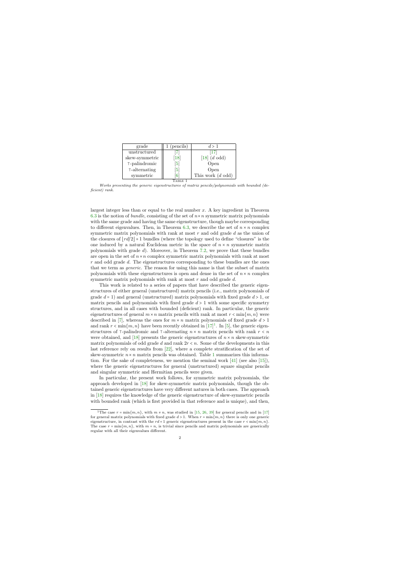| grade               | 1 (pencils)     | d > 1                       |
|---------------------|-----------------|-----------------------------|
| unstructured        |                 |                             |
| skew-symmetric      | $18 \,$         | $[18]$ $(d \text{ odd})$    |
| T-palindromic       | $\vert 5 \vert$ | Open                        |
| $\tau$ -alternating | $\vert 5 \vert$ | Open                        |
| symmetric           | $\overline{6}$  | This work $(d \text{ odd})$ |
|                     |                 |                             |

Works presenting the generic eigenstructures of matrix pencils/polynomials with bounded (deficient) rank.

<span id="page-2-1"></span>largest integer less than or equal to the real number  $x$ . A key ingredient in Theorem [6.3](#page-18-0) is the notion of *bundle*, consisting of the set of  $n \times n$  symmetric matrix polynomials with the same grade and having the same eigenstructure, though maybe corresponding to different eigenvalues. Then, in Theorem [6.3,](#page-18-0) we describe the set of  $n \times n$  complex symmetric matrix polynomials with rank at most  $r$  and odd grade  $d$  as the union of the closures of  $\lfloor rd/2 \rfloor + 1$  bundles (where the topology used to define "closures" is the one induced by a natural Euclidean metric in the space of  $n \times n$  symmetric matrix polynomials with grade d). Moreover, in Theorem [7.2,](#page-22-0) we prove that these bundles are open in the set of  $n \times n$  complex symmetric matrix polynomials with rank at most r and odd grade d. The eigenstructures corresponding to these bundles are the ones that we term as generic. The reason for using this name is that the subset of matrix polynomials with these eigenstructures is open and dense in the set of  $n \times n$  complex symmetric matrix polynomials with rank at most r and odd grade d.

This work is related to a series of papers that have described the generic eigenstructures of either general (unstructured) matrix pencils (i.e., matrix polynomials of grade  $d = 1$ ) and general (unstructured) matrix polynomials with fixed grade  $d > 1$ , or matrix pencils and polynomials with fixed grade  $d > 1$  with some specific symmetry structures, and in all cases with bounded (deficient) rank. In particular, the generic eigenstructures of general  $m \times n$  matrix pencils with rank at most  $r < \min\{m, n\}$  were described in [\[7\]](#page-24-1), whereas the ones for  $m \times n$  matrix polynomials of fixed grade  $d > 1$ and rank  $r < \min\{m, n\}$  have been recently obtained in  $[17]^1$  $[17]^1$  $[17]^1$ . In [\[5\]](#page-24-4), the generic eigenstructures of  $\tau$ -palindromic and  $\tau$ -alternating  $n \times n$  matrix pencils with rank  $r \leq n$ were obtained, and [\[18\]](#page-24-3) presents the generic eigenstructures of  $n \times n$  skew-symmetric matrix polynomials of odd grade d and rank  $2r < n$ . Some of the developments in this last reference rely on results from [\[22\]](#page-24-6), where a complete stratification of the set of skew-symmetric  $n \times n$  matrix pencils was obtained. Table [1](#page-2-1) summarizes this information. For the sake of completeness, we mention the seminal work  $[41]$  (see also  $[15]$ ), where the generic eigenstructures for general (unstructured) square singular pencils and singular symmetric and Hermitian pencils were given.

In particular, the present work follows, for symmetric matrix polynomials, the approach developed in [\[18\]](#page-24-3) for skew-symmetric matrix polynomials, though the obtained generic eigenstructures have very different natures in both cases. The approach in [\[18\]](#page-24-3) requires the knowledge of the generic eigenstructure of skew-symmetric pencils with bounded rank (which is first provided in that reference and is unique), and then,

<span id="page-2-0"></span><sup>&</sup>lt;sup>1</sup>The case  $r = \min\{m, n\}$ , with  $m \neq n$ , was studied in [\[15,](#page-24-7) [26,](#page-25-4) [39\]](#page-25-5) for general pencils and in [\[17\]](#page-24-2) for general matrix polynomials with fixed grade  $d > 1$ . When  $r = \min\{m, n\}$  there is only one generic eigenstructure, in contrast with the  $rd + 1$  generic eigenstructures present in the case  $r < \min\{m, n\}$ . The case  $r = \min\{m, n\}$ , with  $m = n$ , is trivial since pencils and matrix polynomials are generically regular with all their eigenvalues different.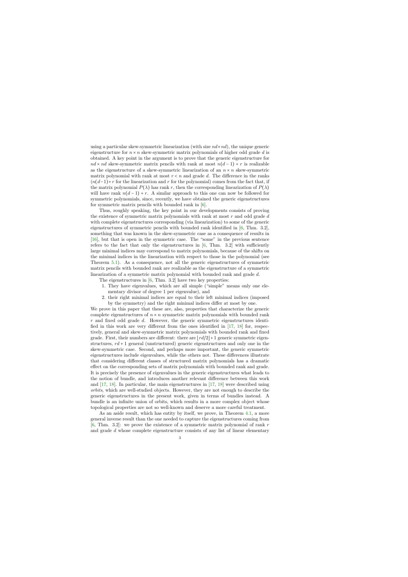using a particular skew-symmetric linearization (with size  $nd \times nd$ ), the unique generic eigenstructure for  $n \times n$  skew-symmetric matrix polynomials of higher odd grade d is obtained. A key point in the argument is to prove that the generic eigenstructure for  $nd \times nd$  skew-symmetric matrix pencils with rank at most  $n(d-1) + r$  is realizable as the eigenstructure of a skew-symmetric linearization of an  $n \times n$  skew-symmetric matrix polynomial with rank at most  $r < n$  and grade d. The difference in the ranks  $(n(d-1)+r$  for the linearization and r for the polynomial) comes from the fact that, if the matrix polynomial  $P(\lambda)$  has rank r, then the corresponding linearization of  $P(\lambda)$ will have rank  $n(d-1) + r$ . A similar approach to this one can now be followed for symmetric polynomials, since, recently, we have obtained the generic eigenstructures for symmetric matrix pencils with bounded rank in [\[6\]](#page-24-5).

Thus, roughly speaking, the key point in our developments consists of proving the existence of symmetric matrix polynomials with rank at most r and odd grade d with complete eigenstructures corresponding (via linearization) to some of the generic eigenstructures of symmetric pencils with bounded rank identified in [\[6,](#page-24-5) Thm. 3.2], something that was known in the skew-symmetric case as a consequence of results in [\[16\]](#page-24-8), but that is open in the symmetric case. The "some" in the previous sentence refers to the fact that only the eigenstructures in  $[6, Thm. 3.2]$  $[6, Thm. 3.2]$  with sufficiently large minimal indices may correspond to matrix polynomials, because of the shifts on the minimal indices in the linearization with respect to those in the polynomial (see Theorem [5.1\)](#page-13-0). As a consequence, not all the generic eigenstructures of symmetric matrix pencils with bounded rank are realizable as the eigenstructure of a symmetric linearization of a symmetric matrix polynomial with bounded rank and grade d.

The eigenstructures in [\[6,](#page-24-5) Thm. 3.2] have two key properties:

- 1. They have eigenvalues, which are all simple ("simple" means only one elementary divisor of degree 1 per eigenvalue), and
- 2. their right minimal indices are equal to their left minimal indices (imposed by the symmetry) and the right minimal indices differ at most by one.

We prove in this paper that these are, also, properties that characterize the generic complete eigenstructures of  $n \times n$  symmetric matrix polynomials with bounded rank  $r$  and fixed odd grade  $d$ . However, the generic symmetric eigenstructures identified in this work are very different from the ones identified in [\[17,](#page-24-2) [18\]](#page-24-3) for, respectively, general and skew-symmetric matrix polynomials with bounded rank and fixed grade. First, their numbers are different: there are  $\lfloor rd/2 \rfloor + 1$  generic symmetric eigenstructures,  $rd + 1$  general (unstructured) generic eigenstructures and only one in the skew-symmetric case. Second, and perhaps more important, the generic symmetric eigenstructures include eigenvalues, while the others not. These differences illustrate that considering different classes of structured matrix polynomials has a dramatic effect on the corresponding sets of matrix polynomials with bounded rank and grade. It is precisely the presence of eigenvalues in the generic eigenstructures what leads to the notion of bundle, and introduces another relevant difference between this work and [\[17,](#page-24-2) [18\]](#page-24-3). In particular, the main eigenstructures in [\[17,](#page-24-2) [18\]](#page-24-3) were described using orbits, which are well-studied objects. However, they are not enough to describe the generic eigenstructures in the present work, given in terms of bundles instead. A bundle is an infinite union of orbits, which results in a more complex object whose topological properties are not so well-known and deserve a more careful treatment.

As an aside result, which has entity by itself, we prove, in Theorem [4.1,](#page-9-0) a more general inverse result than the one needed to capture the eigenstructures coming from [\[6,](#page-24-5) Thm. 3.2]: we prove the existence of a symmetric matrix polynomial of rank  $r$ and grade d whose complete eigenstructure consists of any list of linear elementary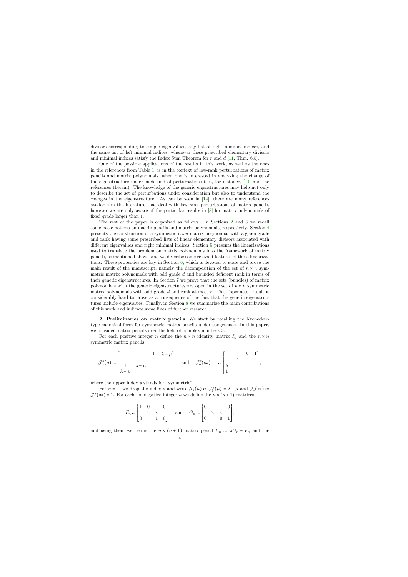divisors corresponding to simple eigenvalues, any list of right minimal indices, and the same list of left minimal indices, whenever these prescribed elementary divisors and minimal indices satisfy the Index Sum Theorem for  $r$  and  $d$  [\[11,](#page-24-9) Thm. 6.5].

One of the possible applications of the results in this work, as well as the ones in the references from Table [1,](#page-2-1) is in the context of low-rank perturbations of matrix pencils and matrix polynomials, when one is interested in analyzing the change of the eigenstructure under such kind of perturbations (see, for instance, [\[14\]](#page-24-10) and the references therein). The knowledge of the generic eigenstructures may help not only to describe the set of perturbations under consideration but also to understand the changes in the eigenstructure. As can be seen in [\[14\]](#page-24-10), there are many references available in the literature that deal with low-rank perturbations of matrix pencils, however we are only aware of the particular results in [\[8\]](#page-24-11) for matrix polynomials of fixed grade larger than 1.

The rest of the paper is organized as follows. In Sections [2](#page-4-0) and [3](#page-6-0) we recall some basic notions on matrix pencils and matrix polynomials, respectively. Section [4](#page-9-1) presents the construction of a symmetric  $n \times n$  matrix polynomial with a given grade and rank having some prescribed lists of linear elementary divisors associated with different eigenvalues and right minimal indices. Section [5](#page-13-1) presents the linearizations used to translate the problem on matrix polynomials into the framework of matrix pencils, as mentioned above, and we describe some relevant features of these linearizations. These properties are key in Section [6,](#page-15-0) which is devoted to state and prove the main result of the manuscript, namely the decomposition of the set of  $n \times n$  symmetric matrix polynomials with odd grade  $d$  and bounded deficient rank in terms of their generic eigenstructures. In Section [7](#page-19-0) we prove that the sets (bundles) of matrix polynomials with the generic eigenstructures are open in the set of  $n \times n$  symmetric matrix polynomials with odd grade  $d$  and rank at most  $r$ . This "openness" result is considerably hard to prove as a consequence of the fact that the generic eigenstructures include eigenvalues. Finally, in Section [8](#page-23-0) we summarize the main contributions of this work and indicate some lines of further research.

2. Preliminaries on matrix pencils. We start by recalling the Kroneckertype canonical form for symmetric matrix pencils under congruence. In this paper, we consider matrix pencils over the field of complex numbers C.

For each positive integer n define the  $n \times n$  identity matrix  $I_n$  and the  $n \times n$ symmetric matrix pencils

$$
\mathcal{J}_n^s(\mu) \coloneqq \begin{bmatrix} 1 & \lambda - \mu \\ 1 & \lambda - \mu \end{bmatrix} \quad \text{and} \quad \mathcal{J}_n^s(\infty) \quad \coloneqq \begin{bmatrix} \lambda & 1 \\ \lambda & 1 \end{bmatrix},
$$

where the upper index s stands for "symmetric".

For  $n = 1$ , we drop the index s and write  $\mathcal{J}_1(\mu) = \mathcal{J}_1^s(\mu) = \lambda - \mu$  and  $\mathcal{J}_1(\infty) =$  $\mathcal{J}_1^s(\infty) = 1$ . For each nonnegative integer *n* we define the  $n \times (n + 1)$  matrices

$$
F_n \coloneqq \begin{bmatrix} 1 & 0 & & 0 \\ & \ddots & \ddots & \\ 0 & & 1 & 0 \end{bmatrix} \quad \text{ and } \quad G_n \coloneqq \begin{bmatrix} 0 & 1 & & 0 \\ & \ddots & \ddots & \\ 0 & & 0 & 1 \end{bmatrix},
$$

<span id="page-4-0"></span>and using them we define the  $n \times (n + 1)$  matrix pencil  $\mathcal{L}_n := \lambda G_n + F_n$  and the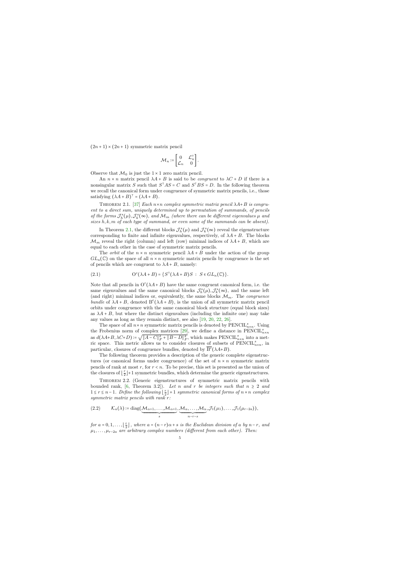$(2n+1) \times (2n+1)$  symmetric matrix pencil

$$
\mathcal{M}_n \coloneqq \begin{bmatrix} 0 & \mathcal{L}_n^{\top} \\ \mathcal{L}_n & 0 \end{bmatrix}.
$$

Observe that  $\mathcal{M}_0$  is just the  $1 \times 1$  zero matrix pencil.

An  $n \times n$  matrix pencil  $\lambda A + B$  is said to be *congruent* to  $\lambda C + D$  if there is a nonsingular matrix S such that  $S<sup>T</sup>AS = C$  and  $S<sup>T</sup>BS = D$ . In the following theorem we recall the canonical form under congruence of symmetric matrix pencils, i.e., those satisfying  $(\lambda A + B)^{\dagger} = (\lambda A + B)$ .

THEOREM 2.1. [\[37\]](#page-25-6) Each  $n \times n$  complex symmetric matrix pencil  $\lambda A+B$  is congruent to a direct sum, uniquely determined up to permutation of summands, of pencils of the forms  $\mathcal{J}_{h}^{s}(\mu), \mathcal{J}_{k}^{s}(\infty)$ , and  $\mathcal{M}_{m}$  (where there can be different eigenvalues  $\mu$  and sizes h, k, m of each type of summand, or even some of the summands can be absent).

In Theorem [2.1,](#page-5-0) the different blocks  $\mathcal{J}_{h}^{s}(\mu)$  and  $\mathcal{J}_{k}^{s}(\infty)$  reveal the eigenstructure corresponding to finite and infinite eigenvalues, respectively, of  $\lambda A + B$ . The blocks  $\mathcal{M}_m$  reveal the right (column) and left (row) minimal indices of  $\lambda A + B$ , which are equal to each other in the case of symmetric matrix pencils.

The *orbit* of the  $n \times n$  symmetric pencil  $\lambda A + B$  under the action of the group  $GL_n(\mathbb{C})$  on the space of all  $n \times n$  symmetric matrix pencils by congruence is the set of pencils which are congruent to  $\lambda A + B$ , namely:

(2.1) 
$$
\mathcal{O}^c(\lambda A + B) = \{S^{\mathsf{T}}(\lambda A + B)S : S \in GL_n(\mathbb{C})\}.
$$

<span id="page-5-0"></span>Note that all pencils in  $O<sup>c</sup>(\lambda A + B)$  have the same congruent canonical form, i.e. the same eigenvalues and the same canonical blocks  $\mathcal{J}_{h}^{s}(\mu), \mathcal{J}_{k}^{s}(\infty)$ , and the same left (and right) minimal indices or, equivalently, the same blocks  $\mathcal{M}_m$ . The *congruence* bundle of  $\lambda A + B$ , denoted  $B^{c}(\lambda A + B)$ , is the union of all symmetric matrix pencil orbits under congruence with the same canonical block structure (equal block sizes) as  $\lambda A + B$ , but where the distinct eigenvalues (including the infinite one) may take any values as long as they remain distinct, see also [\[19,](#page-24-12) [20,](#page-24-13) [22,](#page-24-6) [26\]](#page-25-4).

The space of all  $n \times n$  symmetric matrix pencils is denoted by  $\text{PENCIL}_{n \times n}^s$ . Using the Frobenius norm of complex matrices [\[29\]](#page-25-7), we define a distance in  $\widetilde{\mathrm{PENCIL}}_{n \times n}^s$ as  $d(\lambda A+B, \lambda C+D)$  := √  $\overline{||A-C||_F^2 + ||B-D||_F^2}$ , which makes PENCIL<sup>s</sup><sub>n×n</sub> into a metric space. This metric allows us to consider closures of subsets of  $\text{PENCIL}_{n \times n}^s$ , in particular, closures of congruence bundles, denoted by  $\overline{B}^c(\lambda A+B)$ .

The following theorem provides a description of the generic complete eigenstructures (or canonical forms under congruence) of the set of  $n \times n$  symmetric matrix pencils of rank at most  $r$ , for  $r < n$ . To be precise, this set is presented as the union of the closures of  $\lfloor \frac{r}{2} \rfloor + 1$  symmetric bundles, which determine the generic eigenstructures.

<span id="page-5-1"></span>Theorem 2.2. (Generic eigenstructures of symmetric matrix pencils with bounded rank, [\[6,](#page-24-5) Theorem 3.2]). Let n and r be integers such that  $n \geq 2$  and  $1 \leq r \leq n-1$ . Define the following  $\lfloor \frac{r}{2} \rfloor + 1$  symmetric canonical forms of  $n \times n$  complex symmetric matrix pencils with rank r:

(2.2) 
$$
\mathcal{K}_a(\lambda) = \text{diag}(\underbrace{\mathcal{M}_{\alpha+1}, \dots, \mathcal{M}_{\alpha+1}}_{s}, \underbrace{\mathcal{M}_{\alpha}, \dots, \mathcal{M}_{\alpha}}_{n-r-s}, \mathcal{J}_1(\mu_1), \dots, \mathcal{J}_1(\mu_{r-2a})),
$$

<span id="page-5-2"></span>for  $a = 0, 1, \ldots, \lfloor \frac{r}{2} \rfloor$ , where  $a = (n-r)\alpha + s$  is the Euclidean division of a by  $n-r$ , and  $\mu_1, \ldots, \mu_{r-2a}$  are arbitrary complex numbers (different from each other). Then: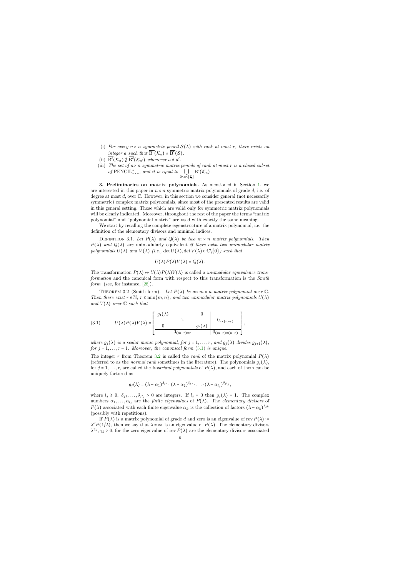- (i) For every  $n \times n$  symmetric pencil  $S(\lambda)$  with rank at most r, there exists an integer a such that  $\overline{B^c}(\mathcal{K}_a) \supseteq \overline{B^c}(\mathcal{S})$ .
- (ii)  $\overline{B^c}(\mathcal{K}_a) \not\supseteq \overline{B^c}(\mathcal{K}_{a'})$  whenever  $a \neq a'$ .
- (iii) The set of  $n \times n$  symmetric matrix pencils of rank at most r is a closed subset of  $\text{PENCIL}_{n \times n}^s$ , and it is equal to  $\bigcup$  $0 ≤ a ≤ \lfloor \frac{r}{2} \rfloor$  $\overline{\mathrm{B}^c}(\mathcal{K}_a).$

3. Preliminaries on matrix polynomials. As mentioned in Section [1,](#page-1-1) we are interested in this paper in  $n \times n$  symmetric matrix polynomials of grade d, i.e. of degree at most  $d$ , over  $\mathbb C$ . However, in this section we consider general (not necessarily symmetric) complex matrix polynomials, since most of the presented results are valid in this general setting. Those which are valid only for symmetric matrix polynomials will be clearly indicated. Moreover, throughout the rest of the paper the terms "matrix polynomial" and "polynomial matrix" are used with exactly the same meaning.

We start by recalling the complete eigenstructure of a matrix polynomial, i.e. the definition of the elementary divisors and minimal indices.

DEFINITION 3.1. Let  $P(\lambda)$  and  $Q(\lambda)$  be two  $m \times n$  matrix polynomials. Then  $P(\lambda)$  and  $Q(\lambda)$  are unimodularly equivalent if there exist two unimodular matrix polynomials  $U(\lambda)$  and  $V(\lambda)$  (i.e., det  $U(\lambda)$ , det  $V(\lambda) \in \mathbb{C} \setminus \{0\}$ ) such that

$$
U(\lambda)P(\lambda)V(\lambda)=Q(\lambda).
$$

<span id="page-6-0"></span>The transformation  $P(\lambda) \mapsto U(\lambda)P(\lambda)V(\lambda)$  is called a *unimodular equivalence trans*formation and the canonical form with respect to this transformation is the Smith form (see, for instance, [\[28\]](#page-25-8)).

THEOREM 3.2 (Smith form). Let  $P(\lambda)$  be an  $m \times n$  matrix polynomial over  $\mathbb{C}$ . Then there exist  $r \in \mathbb{N}$ ,  $r \leq \min\{m, n\}$ , and two unimodular matrix polynomials  $U(\lambda)$ and  $V(\lambda)$  over  $\mathbb C$  such that

(3.1) 
$$
U(\lambda)P(\lambda)V(\lambda) = \begin{bmatrix} g_1(\lambda) & 0 & 0 \ 0 & \ddots & g_r(\lambda) & 0 \ 0 & 0 & g_r(\lambda) & 0 \ (m-r)x & 0 & 0 \end{bmatrix},
$$

where  $g_j(\lambda)$  is a scalar monic polynomial, for  $j = 1, \ldots, r$ , and  $g_j(\lambda)$  divides  $g_{j+1}(\lambda)$ , for  $j = 1, \ldots, r - 1$ . Moreover, the canonical form  $(3.1)$  is unique.

The integer r from Theorem [3.2](#page-6-2) is called the rank of the matrix polynomial  $P(\lambda)$ (referred to as the normal rank sometimes in the literature). The polynomials  $g_i(\lambda)$ , for  $j = 1, \ldots, r$ , are called the *invariant polynomials* of  $P(\lambda)$ , and each of them can be uniquely factored as

$$
g_j(\lambda)=(\lambda-\alpha_1)^{\delta_{j1}}\cdot(\lambda-\alpha_2)^{\delta_{j2}}\cdot\ldots\cdot(\lambda-\alpha_{l_j})^{\delta_{jl_j}},
$$

<span id="page-6-2"></span>where  $l_j \geq 0$ ,  $\delta_{j1}, \ldots, \delta_{jl_j} > 0$  are integers. If  $l_j = 0$  then  $g_j(\lambda) = 1$ . The complex numbers  $\alpha_1, \ldots, \alpha_{l_i}$  are the *finite eigenvalues* of  $P(\lambda)$ . The *elementary divisors* of  $P(\lambda)$  associated with each finite eigenvalue  $\alpha_k$  is the collection of factors  $(\lambda - \alpha_k)^{\delta_{jk}}$ (possibly with repetitions).

<span id="page-6-1"></span>If  $P(\lambda)$  is a matrix polynomial of grade d and zero is an eigenvalue of rev  $P(\lambda)$  :=  $\lambda^d P(1/\lambda)$ , then we say that  $\lambda = \infty$  is an eigenvalue of  $P(\lambda)$ . The elementary divisors  $\lambda^{\gamma_k}, \gamma_k > 0$ , for the zero eigenvalue of rev  $P(\lambda)$  are the elementary divisors associated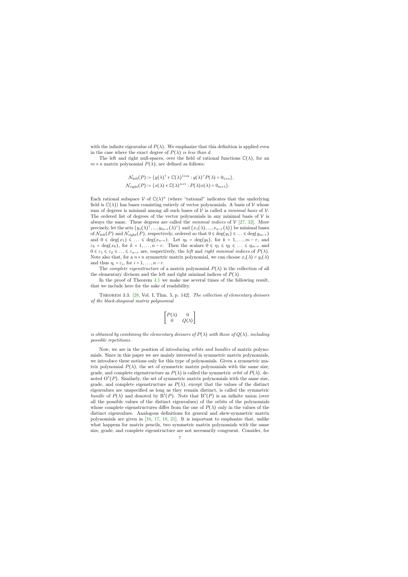with the infinite eigenvalue of  $P(\lambda)$ . We emphasize that this definition is applied even in the case where the exact degree of  $P(\lambda)$  is less than d.

The left and right null-spaces, over the field of rational functions  $\mathbb{C}(\lambda)$ , for an  $m \times n$  matrix polynomial  $P(\lambda)$ , are defined as follows:

$$
\mathcal{N}_{\text{left}}(P) \coloneqq \{y(\lambda)^{\top} \in \mathbb{C}(\lambda)^{1 \times m} : y(\lambda)^{\top} P(\lambda) = 0_{1 \times n} \},
$$
  

$$
\mathcal{N}_{\text{right}}(P) \coloneqq \{x(\lambda) \in \mathbb{C}(\lambda)^{n \times 1} : P(\lambda)x(\lambda) = 0_{m \times 1} \}.
$$

Each rational subspace  $V$  of  $\mathbb{C}(\lambda)^n$  (where "rational" indicates that the underlying field is  $\mathbb{C}(\lambda)$  has bases consisting entirely of vector polynomials. A basis of V whose sum of degrees is minimal among all such bases of  $V$  is called a *minimal basis* of  $V$ . The ordered list of degrees of the vector polynomials in any minimal basis of  $\mathcal V$  is always the same. These degrees are called the *minimal indices* of  $V$  [\[27,](#page-25-9) [32\]](#page-25-10). More precisely, let the sets  $\{y_1(\lambda)^\top, ..., y_{m-r}(\lambda)^\top\}$  and  $\{x_1(\lambda), ..., x_{n-r}(\lambda)\}$  be minimal bases of  $\mathcal{N}_{\text{left}}(P)$  and  $\mathcal{N}_{\text{right}}(P)$ , respectively, ordered so that  $0 \leq \deg(y_1) \leq \ldots \leq \deg(y_{m-r})$ and  $0 \leq \deg(x_1) \leq \ldots \leq \deg(x_{n-r})$ . Let  $\eta_k = \deg(y_k)$ , for  $k = 1, \ldots, m-r$ , and  $\varepsilon_k = \deg(x_k)$ , for  $k = 1, \ldots, n-r$ . Then the scalars  $0 \leq \eta_1 \leq \eta_2 \leq \ldots \leq \eta_{m-r}$  and  $0 \leq \varepsilon_1 \leq \varepsilon_2 \leq \ldots \leq \varepsilon_{n-r}$  are, respectively, the left and right minimal indices of  $P(\lambda)$ . Note also that, for a  $n \times n$  symmetric matrix polynomial, we can choose  $x_i(\lambda) = y_i(\lambda)$ and thus  $\eta_i = \varepsilon_i$ , for  $i = 1, \ldots, n-r$ .

The *complete eigenstructure* of a matrix polynomial  $P(\lambda)$  is the collection of all the elementary divisors and the left and right minimal indices of  $P(\lambda)$ .

In the proof of Theorem [4.1](#page-9-0) we make use several times of the following result, that we include here for the sake of readability.

Theorem 3.3. [\[28,](#page-25-8) Vol. I, Thm. 5, p. 142]. The collection of elementary divisors of the block-diagonal matrix polynomial

$$
\begin{bmatrix} P(\lambda) & 0 \\ 0 & Q(\lambda) \end{bmatrix}
$$

is obtained by combining the elementary divisors of  $P(\lambda)$  with those of  $Q(\lambda)$ , including possible repetitions.

<span id="page-7-0"></span>Now, we are in the position of introducing orbits and bundles of matrix polynomials. Since in this paper we are mainly interested in symmetric matrix polynomials, we introduce these notions only for this type of polynomials. Given a symmetric matrix polynomial  $P(\lambda)$ , the set of symmetric matrix polynomials with the same size, grade, and complete eigenstructure as  $P(\lambda)$  is called the symmetric *orbit* of  $P(\lambda)$ , denoted  $O^{s}(P)$ . Similarly, the set of symmetric matrix polynomials with the same size, grade, and complete eigenstructure as  $P(\lambda)$ , except that the values of the distinct eigenvalues are unspecified as long as they remain distinct, is called the symmetric bundle of  $P(\lambda)$  and denoted by  $B^{s}(P)$ . Note that  $B^{s}(P)$  is an infinite union (over all the possible values of the distinct eigenvalues) of the orbits of the polynomials whose complete eigenstructures differ from the one of  $P(\lambda)$  only in the values of the distinct eigenvalues. Analogous definitions for general and skew-symmetric matrix polynomials are given in [\[16,](#page-24-8) [17,](#page-24-2) [18,](#page-24-3) [21\]](#page-24-14). It is important to emphasize that, unlike what happens for matrix pencils, two symmetric matrix polynomials with the same size, grade, and complete eigenstructure are not necessarily congruent. Consider, for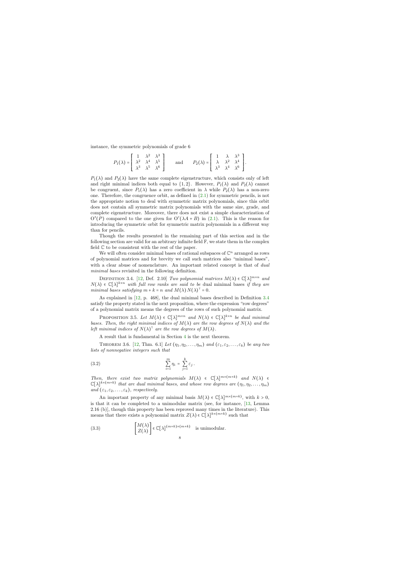instance, the symmetric polynomials of grade 6

$$
P_1(\lambda) = \begin{bmatrix} 1 & \lambda^2 & \lambda^3 \\ \lambda^2 & \lambda^4 & \lambda^5 \\ \lambda^3 & \lambda^5 & \lambda^6 \end{bmatrix} \quad \text{and} \quad P_2(\lambda) = \begin{bmatrix} 1 & \lambda & \lambda^3 \\ \lambda & \lambda^2 & \lambda^4 \\ \lambda^3 & \lambda^4 & \lambda^6 \end{bmatrix}.
$$

 $P_1(\lambda)$  and  $P_2(\lambda)$  have the same complete eigenstructure, which consists only of left and right minimal indices both equal to  $\{1,2\}$ . However,  $P_1(\lambda)$  and  $P_2(\lambda)$  cannot be congruent, since  $P_1(\lambda)$  has a zero coefficient in  $\lambda$  while  $P_2(\lambda)$  has a non-zero one. Therefore, the congruence orbit, as defined in [\(2.1\)](#page-5-1) for symmetric pencils, is not the appropriate notion to deal with symmetric matrix polynomials, since this orbit does not contain all symmetric matrix polynomials with the same size, grade, and complete eigenstructure. Moreover, there does not exist a simple characterization of  $O^{s}(P)$  compared to the one given for  $O^{c}(\lambda A + B)$  in [\(2.1\)](#page-5-1). This is the reason for introducing the symmetric orbit for symmetric matrix polynomials in a different way than for pencils.

Though the results presented in the remaining part of this section and in the following section are valid for an arbitrary infinite field  $\mathbb{F}$ , we state them in the complex field C to be consistent with the rest of the paper.

We will often consider minimal bases of rational subspaces of  $\mathbb{C}^n$  arranged as rows of polynomial matrices and for brevity we call such matrices also "minimal bases", with a clear abuse of nomenclature. An important related concept is that of *dual* minimal bases revisited in the following definition.

DEFINITION 3.4. [\[12,](#page-24-15) Def. 2.10] Two polynomial matrices  $M(\lambda) \in \mathbb{C}[\lambda]^{m \times n}$  and  $N(\lambda) \in \mathbb{C}[\lambda]^{k \times n}$  with full row ranks are said to be dual minimal bases if they are minimal bases satisfying  $m + k = n$  and  $M(\lambda) N(\lambda)^T = 0$ .

As explained in [\[12,](#page-24-15) p. 468], the dual minimal bases described in Definition [3.4](#page-8-0) satisfy the property stated in the next proposition, where the expression "row degrees" of a polynomial matrix means the degrees of the rows of such polynomial matrix.

PROPOSITION 3.5. Let  $M(\lambda) \in \mathbb{C}[\lambda]^{m \times n}$  and  $N(\lambda) \in \mathbb{C}[\lambda]^{k \times n}$  be dual minimal bases. Then, the right minimal indices of  $M(\lambda)$  are the row degrees of  $N(\lambda)$  and the left minimal indices of  $N(\lambda)$ <sup>T</sup> are the row degrees of  $M(\lambda)$ .

A result that is fundamental in Section [4](#page-9-1) is the next theorem.

THEOREM 3.6. [\[12,](#page-24-15) Thm. 6.1] Let  $(\eta_1, \eta_2, \ldots, \eta_m)$  and  $(\varepsilon_1, \varepsilon_2, \ldots, \varepsilon_k)$  be any two lists of nonnegative integers such that

$$
\sum_{i=1}^m \eta_i = \sum_{j=1}^k \varepsilon_j.
$$

<span id="page-8-0"></span>Then, there exist two matrix polynomials  $M(\lambda) \in \mathbb{C}[\lambda]^{m \times (m+k)}$  and  $N(\lambda) \in$  $\mathbb{C}[\lambda]^{k\times(m+k)}$  that are dual minimal bases, and whose row degrees are  $(\eta_1, \eta_2, \ldots, \eta_m)$ and  $(\varepsilon_1, \varepsilon_2, \ldots, \varepsilon_k)$ , respectively.

<span id="page-8-2"></span>An important property of any minimal basis  $M(\lambda) \in \mathbb{C}[\lambda]^{m \times (m+k)}$ , with  $k > 0$ , is that it can be completed to a unimodular matrix (see, for instance, [\[13,](#page-24-16) Lemma 2.16 (b)], though this property has been reproved many times in the literature). This means that there exists a polynomial matrix  $Z(\lambda) \in \mathbb{C}[\lambda]^{k \times (m+k)}$  such that

<span id="page-8-3"></span><span id="page-8-1"></span>(3.3) 
$$
\begin{bmatrix} M(\lambda) \\ Z(\lambda) \end{bmatrix} \in \mathbb{C}[\lambda]^{(m+k)\times (m+k)}
$$
 is unimodular.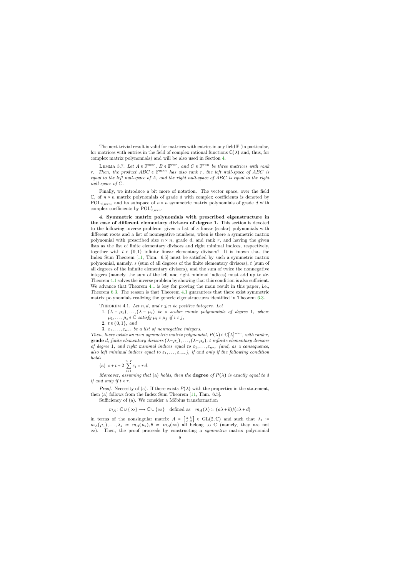The next trivial result is valid for matrices with entries in any field  $\mathbb F$  (in particular, for matrices with entries in the field of complex rational functions  $\mathbb{C}(\lambda)$  and, thus, for complex matrix polynomials) and will be also used in Section [4.](#page-9-1)

LEMMA 3.7. Let  $A \in \mathbb{F}^{m \times r}$ ,  $B \in \mathbb{F}^{r \times r}$ , and  $C \in \mathbb{F}^{r \times n}$  be three matrices with rank r. Then, the product  $ABC \in \mathbb{F}^{m \times n}$  has also rank r, the left null-space of ABC is equal to the left null-space of A, and the right null-space of ABC is equal to the right null-space of C.

Finally, we introduce a bit more of notation. The vector space, over the field  $\mathbb{C}$ , of  $n \times n$  matrix polynomials of grade d with complex coefficients is denoted by  $POL_{d,n\times n}$ , and its subspace of  $n \times n$  symmetric matrix polynomials of grade d with complex coefficients by  $\text{POL}_{d,n\times n}^s$ .

<span id="page-9-2"></span>4. Symmetric matrix polynomials with prescribed eigenstructure in the case of different elementary divisors of degree 1. This section is devoted to the following inverse problem: given a list of s linear (scalar) polynomials with different roots and a list of nonnegative numbers, when is there a symmetric matrix polynomial with prescribed size  $n \times n$ , grade d, and rank r, and having the given lists as the list of finite elementary divisors and right minimal indices, respectively, together with  $t \in \{0,1\}$  infinite linear elementary divisors? It is known that the Index Sum Theorem [\[11,](#page-24-9) Thm. 6.5] must be satisfied by such a symmetric matrix polynomial, namely, s (sum of all degrees of the finite elementary divisors), t (sum of all degrees of the infinite elementary divisors), and the sum of twice the nonnegative integers (namely, the sum of the left and right minimal indices) must add up to  $dr$ . Theorem [4.1](#page-9-0) solves the inverse problem by showing that this condition is also sufficient. We advance that Theorem [4.1](#page-9-0) is key for proving the main result in this paper, i.e., Theorem [6.3.](#page-18-0) The reason is that Theorem [4.1](#page-9-0) guarantees that there exist symmetric matrix polynomials realizing the generic eigenstructures identified in Theorem [6.3.](#page-18-0)

THEOREM 4.1. Let n, d, and  $r \leq n$  be positive integers. Let

- 1.  $(\lambda \mu_1), \ldots, (\lambda \mu_s)$  be s scalar monic polynomials of degree 1, where  $\mu_1, \ldots, \mu_s \in \mathbb{C}$  satisfy  $\mu_i \neq \mu_j$  if  $i \neq j$ ,
- 2.  $t \in \{0, 1\}$ , and
- 3.  $\varepsilon_1, \ldots, \varepsilon_{n-r}$  be a list of nonnegative integers.

<span id="page-9-1"></span>Then, there exists an  $n \times n$  symmetric matrix polynomial,  $P(\lambda) \in \mathbb{C}[\lambda]^{n \times n}$ , with rank r, grade d, finite elementary divisors  $(\lambda-\mu_1), \ldots, (\lambda-\mu_s)$ , t infinite elementary divisors of degree 1, and right minimal indices equal to  $\varepsilon_1, \ldots, \varepsilon_{n-r}$  (and, as a consequence, also left minimal indices equal to  $\varepsilon_1, \ldots, \varepsilon_{n-r}$ , if and only if the following condition holds

(a) 
$$
s + t + 2 \sum_{i=1}^{n-r} \varepsilon_i = r d
$$
.

Moreover, assuming that (a) holds, then the **degree** of  $P(\lambda)$  is exactly equal to d if and only if  $t < r$ .

<span id="page-9-0"></span>*Proof.* Necessity of (a). If there exists  $P(\lambda)$  with the properties in the statement, then (a) follows from the Index Sum Theorem [\[11,](#page-24-9) Thm. 6.5].

Sufficiency of (a). We consider a Möbius transformation

 $m_A : \mathbb{C} \cup {\infty} \longrightarrow \mathbb{C} \cup {\infty}$  defined as  $m_A(\lambda) = (a\lambda + b)/(c\lambda + d)$ 

in terms of the nonsingular matrix  $A = \begin{bmatrix} a & b \\ c & d \end{bmatrix} \in GL(2, \mathbb{C})$  and such that  $\lambda_1 :=$  $m_A(\mu_1), \ldots, \lambda_s := m_A(\mu_s), \theta = m_A(\infty)$  all belong to  $\mathbb C$  (namely, they are not  $\infty$ ). Then, the proof proceeds by constructing a *symmetric* matrix polynomial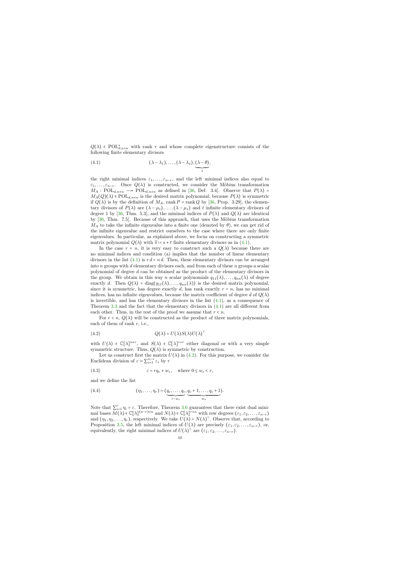$Q(\lambda) \in \text{POL}_{d,n \times n}^s$  with rank r and whose complete eigenstructure consists of the following finite elementary divisors

(4.1) 
$$
(\lambda - \lambda_1), \ldots, (\lambda - \lambda_s), \underbrace{(\lambda - \theta)}_t,
$$

the right minimal indices  $\varepsilon_1, \ldots, \varepsilon_{n-r}$ , and the left minimal indices also equal to  $\varepsilon_1, \ldots, \varepsilon_{n-r}$ . Once  $Q(\lambda)$  is constructed, we consider the Möbius transformation  $M_A : \text{POL}_{d,n \times n} \longrightarrow \text{POL}_{d,n \times n}$  as defined in [\[36,](#page-25-11) Def. 3.4]. Observe that  $P(\lambda)$  =  $M_A(Q)(\lambda) \in \text{POL}_{d,n \times n}$  is the desired matrix polynomial, because  $P(\lambda)$  is symmetric if  $Q(\lambda)$  is by the definition of  $M_A$ , rank  $P = \text{rank } Q$  by [\[36,](#page-25-11) Prop. 3.29], the elementary divisors of  $P(\lambda)$  are  $(\lambda - \mu_1), \ldots, (\lambda - \mu_s)$  and t infinite elementary divisors of degree 1 by [\[36,](#page-25-11) Thm. 5.3], and the minimal indices of  $P(\lambda)$  and  $Q(\lambda)$  are identical by  $[36, Thm. 7.5]$  $[36, Thm. 7.5]$ . Because of this approach, that uses the Möbius transformation  $M_A$  to take the infinite eigenvalue into a finite one (denoted by  $\theta$ ), we can get rid of the infinite eigenvalue and restrict ourselves to the case where there are only finite eigenvalues. In particular, as explained above, we focus on constructing a symmetric matrix polynomial  $Q(\lambda)$  with  $\tilde{s} = s + t$  finite elementary divisors as in [\(4.1\)](#page-10-0).

<span id="page-10-0"></span>In the case  $r = n$ , it is very easy to construct such a  $Q(\lambda)$  because there are no minimal indices and condition (a) implies that the number of linear elementary divisors in the list [\(4.1\)](#page-10-0) is  $rd = nd$ . Then, these elementary divisors can be arranged into  $n$  groups with  $d$  elementary divisors each, and from each of these  $n$  groups a scalar polynomial of degree d can be obtained as the product of the elementary divisors in the group. We obtain in this way n scalar polynomials  $q_{11}(\lambda), \ldots, q_{nn}(\lambda)$  of degree exactly d. Then  $Q(\lambda) = \text{diag}(q_{11}(\lambda), \ldots, q_{nn}(\lambda))$  is the desired matrix polynomial, since it is symmetric, has degree exactly d, has rank exactly  $r = n$ , has no minimal indices, has no infinite eigenvalues, because the matrix coefficient of degree d of  $Q(\lambda)$ is invertible, and has the elementary divisors in the list  $(4.1)$ , as a consequence of Theorem [3.3](#page-7-0) and the fact that the elementary divisors in [\(4.1\)](#page-10-0) are all different from each other. Thus, in the rest of the proof we assume that  $r < n$ .

For  $r < n$ ,  $Q(\lambda)$  will be constructed as the product of three matrix polynomials, each of them of rank  $r$ , i.e.,

(4.2) 
$$
Q(\lambda) = U(\lambda)S(\lambda)U(\lambda)^{\top}
$$

with  $U(\lambda) \in \mathbb{C}[\lambda]^{n \times r}$ , and  $S(\lambda) \in \mathbb{C}[\lambda]^{r \times r}$  either diagonal or with a very simple symmetric structure. Thus,  $Q(\lambda)$  is symmetric by construction.

Let us construct first the matrix  $U(\lambda)$  in [\(4.2\)](#page-10-1). For this purpose, we consider the Euclidean division of  $\varepsilon \coloneqq \sum_{i=1}^{n-r} \varepsilon_i$  by  $r$ 

(4.3) 
$$
\varepsilon = r q_{\varepsilon} + w_{\varepsilon}, \text{ where } 0 \le w_{\varepsilon} < r,
$$

and we define the list

(4.4) 
$$
(\eta_1,\ldots,\eta_r)=(\underbrace{q_{\varepsilon},\ldots,q_{\varepsilon}}_{r-w_{\varepsilon}},\underbrace{q_{\varepsilon}+1,\ldots,q_{\varepsilon}+1}_{w_{\varepsilon}}).
$$

<span id="page-10-3"></span><span id="page-10-2"></span><span id="page-10-1"></span>Note that  $\sum_{i=1}^{r} \eta_i = \varepsilon$ . Therefore, Theorem [3.6](#page-8-1) guarantees that there exist dual minimal bases  $M(\lambda) \in \mathbb{C}[\lambda]^{(n-r)\times n}$  and  $N(\lambda) \in \mathbb{C}[\lambda]^{r\times n}$  with row degrees  $(\varepsilon_1, \varepsilon_2, \dots, \varepsilon_{n-r})$ and  $(\eta_1, \eta_2, \ldots, \eta_r)$ , respectively. We take  $U(\lambda) = N(\lambda)^T$ . Observe that, according to Proposition [3.5,](#page-8-2) the left minimal indices of  $U(\lambda)$  are precisely  $(\varepsilon_1, \varepsilon_2, \ldots, \varepsilon_{n-r})$ , or, equivalently, the right minimal indices of  $U(\lambda)^{\dagger}$  are  $(\varepsilon_1, \varepsilon_2, \ldots, \varepsilon_{n-r})$ .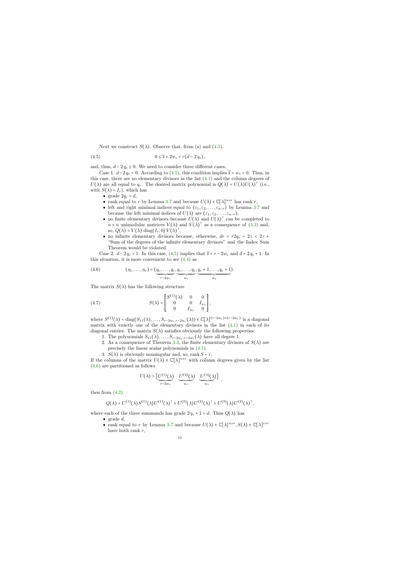Next we construct  $S(\lambda)$ . Observe that, from (a) and [\(4.3\)](#page-10-2),

$$
(4.5) \t\t\t 0 \le \widetilde{s} + 2w_{\varepsilon} = r(d - 2 q_{\varepsilon}),
$$

and, thus,  $d - 2 q_{\varepsilon} \geq 0$ . We need to consider three different cases.

Case 1.  $d-2q_{\varepsilon} = 0$ . According to [\(4.5\)](#page-11-0), this condition implies  $\widetilde{s} = w_{\varepsilon} = 0$ . Thus, in this case, there are no elementary divisors in the list [\(4.1\)](#page-10-0) and the column degrees of  $U(\lambda)$  are all equal to  $q_{\varepsilon}$ . The desired matrix polynomial is  $Q(\lambda) = U(\lambda)U(\lambda)^{\top}$  (i.e., with  $S(\lambda) = I_r$ , which has

- grade  $2q_{\varepsilon} = d$ ,
- rank equal to r by Lemma [3.7](#page-9-2) and because  $U(\lambda) \in \mathbb{C}[\lambda]^{n \times r}$  has rank r,
- left and right minimal indices equal to  $(\varepsilon_1, \varepsilon_2, \ldots, \varepsilon_{n-r})$  by Lemma [3.7](#page-9-2) and because the left minimal indices of  $U(\lambda)$  are  $(\varepsilon_1, \varepsilon_2, \ldots, \varepsilon_{n-r}),$
- no finite elementary divisors because  $U(\lambda)$  and  $U(\lambda)$ <sup> $\top$ </sup> can be completed to  $n \times n$  unimodular matrices  $V(\lambda)$  and  $V(\lambda)$ <sup>T</sup> as a consequence of [\(3.3\)](#page-8-3) and, so,  $Q(\lambda) = V(\lambda) \text{ diag}(I_r, 0) V(\lambda)^\top$ ,
- no infinite elementary divisors because, otherwise,  $dr = r2q_{\varepsilon} = 2\varepsilon < 2\varepsilon +$ "Sum of the degrees of the infinite elementary divisors" and the Index Sum Theorem would be violated.

<span id="page-11-0"></span>Case 2.  $d-2q_{\varepsilon} = 1$ . In this case, [\(4.5\)](#page-11-0) implies that  $\tilde{s} = r - 2w_{\varepsilon}$  and  $d = 2q_{\varepsilon} + 1$ . In this situation, it is more convenient to see  $(4.4)$  as

(4.6) 
$$
(\eta_1,\ldots,\eta_r)=(\underbrace{q_{\varepsilon},\ldots,q_{\varepsilon}}_{r-2w_{\varepsilon}},\underbrace{q_{\varepsilon},\ldots,q_{\varepsilon}}_{w_{\varepsilon}},\underbrace{q_{\varepsilon}+1,\ldots,q_{\varepsilon}+1}_{w_{\varepsilon}}).
$$

The matrix  $S(\lambda)$  has the following structure

(4.7) 
$$
S(\lambda) = \begin{bmatrix} S^{(1)}(\lambda) & 0 & 0 \\ 0 & 0 & I_{w_{\varepsilon}} \\ 0 & I_{w_{\varepsilon}} & 0 \end{bmatrix},
$$

where  $S^{(1)}(\lambda) = \text{diag}(S_{11}(\lambda), \ldots, S_{r-2w_{\varepsilon}, r-2w_{\varepsilon}}(\lambda)) \in \mathbb{C}[\lambda]^{(r-2w_{\varepsilon}) \times (r-2w_{\varepsilon})}$  is a diagonal matrix with exactly one of the elementary divisors in the list  $(4.1)$  in each of its diagonal entries. The matrix  $S(\lambda)$  satisfies obviously the following properties:

- 1. The polynomials  $S_{11}(\lambda), \ldots, S_{r-2w_{\varepsilon},r-2w_{\varepsilon}}(\lambda)$  have all degree 1.
- 2. As a consequence of Theorem [3.3,](#page-7-0) the finite elementary divisors of  $S(\lambda)$  are precisely the linear scalar polynomials in [\(4.1\)](#page-10-0).
- 3.  $S(\lambda)$  is obviously nonsingular and, so, rank  $S = r$ .

<span id="page-11-1"></span>If the columns of the matrix  $U(\lambda) \in \mathbb{C}[\lambda]^{n \times r}$  with column degrees given by the list [\(4.6\)](#page-11-1) are partitioned as follows

$$
U(\lambda) = \left[ \underbrace{U^{(1)}(\lambda)}_{r-2w_{\varepsilon}} \quad \underbrace{U^{(2)}(\lambda)}_{w_{\varepsilon}} \quad \underbrace{U^{(3)}(\lambda)}_{w_{\varepsilon}} \right],
$$

then from  $(4.2)$ 

$$
Q(\lambda) = U^{(1)}(\lambda)S^{(1)}(\lambda)U^{(1)}(\lambda)^{\top} + U^{(2)}(\lambda)U^{(3)}(\lambda)^{\top} + U^{(3)}(\lambda)U^{(2)}(\lambda)^{\top},
$$

where each of the three summands has grade  $2 q_{\varepsilon} + 1 = d$ . Thus  $Q(\lambda)$  has

- grade  $d$ ,
- rank equal to r by Lemma [3.7](#page-9-2) and because  $U(\lambda) \in \mathbb{C}[\lambda]^{n \times r}$ ,  $S(\lambda) \in \mathbb{C}[\lambda]^{r \times r}$ have both rank  $r$ ,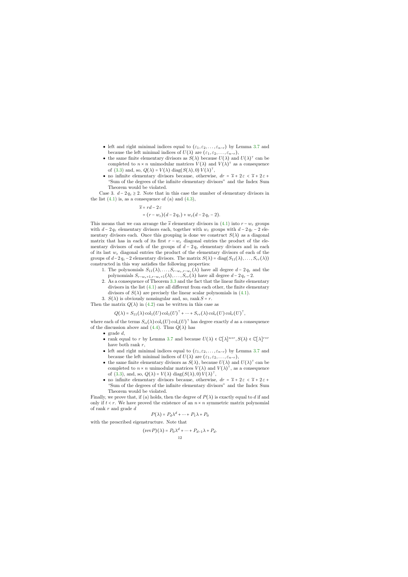- left and right minimal indices equal to  $(\varepsilon_1, \varepsilon_2, \ldots, \varepsilon_{n-r})$  by Lemma [3.7](#page-9-2) and because the left minimal indices of  $U(\lambda)$  are  $(\varepsilon_1, \varepsilon_2, \ldots, \varepsilon_{n-r}),$
- the same finite elementary divisors as  $S(\lambda)$  because  $U(\lambda)$  and  $U(\lambda)^\top$  can be completed to  $n \times n$  unimodular matrices  $V(\lambda)$  and  $V(\lambda)$ <sup>T</sup> as a consequence of [\(3.3\)](#page-8-3) and, so,  $Q(\lambda) = V(\lambda) \operatorname{diag}(S(\lambda), 0) V(\lambda)^{\dagger}$ ,
- no infinite elementary divisors because, otherwise,  $dr = \tilde{s} + 2\varepsilon < \tilde{s} + 2\varepsilon + 2\varepsilon$ "Sum of the degrees of the infinite elementary divisors" and the Index Sum Theorem would be violated.

Case 3.  $d - 2q_{\varepsilon} \geq 2$ . Note that in this case the number of elementary divisors in the list  $(4.1)$  is, as a consequence of  $(a)$  and  $(4.3)$ ,

$$
\widetilde{s} = rd - 2 \varepsilon
$$
  
=  $(r - w_{\varepsilon})(d - 2 q_{\varepsilon}) + w_{\varepsilon}(d - 2 q_{\varepsilon} - 2).$ 

This means that we can arrange the  $\tilde{s}$  elementary divisors in [\(4.1\)](#page-10-0) into  $r - w_{\varepsilon}$  groups with  $d - 2q_{\varepsilon}$  elementary divisors each, together with  $w_{\varepsilon}$  groups with  $d - 2q_{\varepsilon} - 2$  elementary divisors each. Once this grouping is done we construct  $S(\lambda)$  as a diagonal matrix that has in each of its first  $r - w_{\varepsilon}$  diagonal entries the product of the elementary divisors of each of the groups of  $d - 2q_{\varepsilon}$  elementary divisors and in each of its last  $w_{\varepsilon}$  diagonal entries the product of the elementary divisors of each of the groups of  $d-2q_{\varepsilon}-2$  elementary divisors. The matrix  $S(\lambda) = \text{diag}(S_{11}(\lambda), \ldots, S_{rr}(\lambda))$ constructed in this way satisfies the following properties:

- 1. The polynomials  $S_{11}(\lambda), \ldots, S_{r-w_{\varepsilon},r-w_{\varepsilon}}(\lambda)$  have all degree  $d-2q_{\varepsilon}$  and the polynomials  $S_{r-w_{\varepsilon}+1,r-w_{\varepsilon}+1}(\lambda),\ldots,S_{rr}(\lambda)$  have all degree  $d-2q_{\varepsilon}-2$ .
- 2. As a consequence of Theorem [3.3](#page-7-0) and the fact that the linear finite elementary divisors in the list [\(4.1\)](#page-10-0) are all different from each other, the finite elementary divisors of  $S(\lambda)$  are precisely the linear scalar polynomials in [\(4.1\)](#page-10-0).
- 3.  $S(\lambda)$  is obviously nonsingular and, so, rank  $S = r$ .

Then the matrix  $Q(\lambda)$  in [\(4.2\)](#page-10-1) can be written in this case as

$$
Q(\lambda) = S_{11}(\lambda) \operatorname{col}_1(U) \operatorname{col}_1(U)^\top + \dots + S_{rr}(\lambda) \operatorname{col}_r(U) \operatorname{col}_r(U)^\top,
$$

where each of the terms  $S_{ii}(\lambda) \text{col}_i(U) \text{col}_i(U)$ <sup>T</sup> has degree exactly d as a consequence of the discussion above and  $(4.4)$ . Thus  $Q(\lambda)$  has

- grade  $d$ ,
- rank equal to r by Lemma [3.7](#page-9-2) and because  $U(\lambda) \in \mathbb{C}[\lambda]^{n \times r}$ ,  $S(\lambda) \in \mathbb{C}[\lambda]^{r \times r}$ have both rank  $r$ ,
- left and right minimal indices equal to  $(\varepsilon_1, \varepsilon_2, \ldots, \varepsilon_{n-r})$  by Lemma [3.7](#page-9-2) and because the left minimal indices of  $U(\lambda)$  are  $(\varepsilon_1, \varepsilon_2, \ldots, \varepsilon_{n-r}),$
- the same finite elementary divisors as  $S(\lambda)$ , because  $U(\lambda)$  and  $U(\lambda)^\dagger$  can be completed to  $n \times n$  unimodular matrices  $V(\lambda)$  and  $V(\lambda)$ <sup>T</sup>, as a consequence of [\(3.3\)](#page-8-3), and, so,  $Q(\lambda) = V(\lambda) \text{ diag}(S(\lambda), 0) V(\lambda)^\dagger$ ,
- no infinite elementary divisors because, otherwise,  $dr = \tilde{s} + 2\varepsilon < \tilde{s} + 2\varepsilon + 2\varepsilon$ "Sum of the degrees of the infinite elementary divisors" and the Index Sum Theorem would be violated.

Finally, we prove that, if (a) holds, then the degree of  $P(\lambda)$  is exactly equal to d if and only if  $t < r$ . We have proved the existence of an  $n \times n$  symmetric matrix polynomial of rank r and grade d

$$
P(\lambda) = P_d \lambda^d + \dots + P_1 \lambda + P_0
$$

with the prescribed eigenstructure. Note that

$$
(\text{rev}P)(\lambda) = P_0 \lambda^d + \dots + P_{d-1} \lambda + P_d.
$$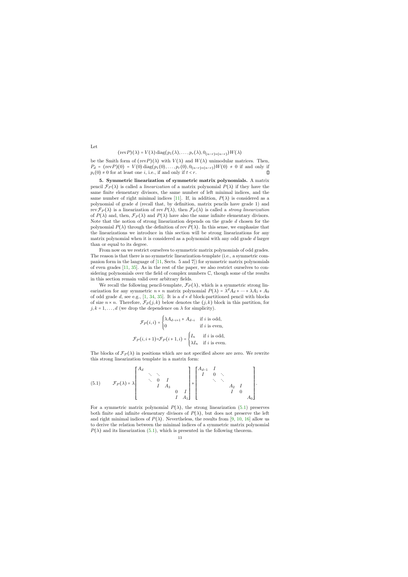$$
(\text{rev}P)(\lambda) = V(\lambda) \operatorname{diag}(p_1(\lambda), \ldots, p_r(\lambda), 0_{(n-r)\times(n-r)})W(\lambda)
$$

be the Smith form of  $(revP)(\lambda)$  with  $V(\lambda)$  and  $W(\lambda)$  unimodular matrices. Then,  $P_d = (revP)(0) = V(0) \text{diag}(p_1(0), \ldots, p_r(0), 0_{(n-r)\times(n-r)})W(0) \neq 0$  if and only if  $p_i(0) \neq 0$  for at least one *i*, i.e., if and only if  $t < r$ .  $p_i(0) \neq 0$  for at least one *i*, i.e., if and only if  $t < r$ .

5. Symmetric linearization of symmetric matrix polynomials. A matrix pencil  $\mathcal{F}_P(\lambda)$  is called a *linearization* of a matrix polynomial  $P(\lambda)$  if they have the same finite elementary divisors, the same number of left minimal indices, and the same number of right minimal indices [\[11\]](#page-24-9). If, in addition,  $P(\lambda)$  is considered as a polynomial of grade d (recall that, by definition, matrix pencils have grade 1) and rev  $\mathcal{F}_P(\lambda)$  is a linearization of rev  $P(\lambda)$ , then  $\mathcal{F}_P(\lambda)$  is called a strong linearization of  $P(\lambda)$  and, then,  $\mathcal{F}_P(\lambda)$  and  $P(\lambda)$  have also the same infinite elementary divisors. Note that the notion of strong linearization depends on the grade  $d$  chosen for the polynomial  $P(\lambda)$  through the definition of rev  $P(\lambda)$ . In this sense, we emphasize that the linearizations we introduce in this section will be strong linearizations for any matrix polynomial when it is considered as a polynomial with any odd grade d larger than or equal to its degree.

From now on we restrict ourselves to symmetric matrix polynomials of odd grades. The reason is that there is no symmetric linearization-template (i.e., a symmetric companion form in the language of [\[11,](#page-24-9) Sects. 5 and 7]) for symmetric matrix polynomials of even grades [\[11,](#page-24-9) [35\]](#page-25-12). As in the rest of the paper, we also restrict ourselves to considering polynomials over the field of complex numbers C, though some of the results in this section remain valid over arbitrary fields.

<span id="page-13-1"></span>We recall the following pencil-template,  $\mathcal{F}_P(\lambda)$ , which is a symmetric strong linearization for any symmetric  $n \times n$  matrix polynomial  $P(\lambda) = \lambda^d A_d + \dots + \lambda A_1 + A_0$ of odd grade  $d$ , see e.g., [\[1,](#page-24-17) [34,](#page-25-13) [35\]](#page-25-12). It is a  $d \times d$  block-partitioned pencil with blocks of size  $n \times n$ . Therefore,  $\mathcal{F}_P(j,k)$  below denotes the  $(j,k)$  block in this partition, for  $j, k = 1, \ldots, d$  (we drop the dependence on  $\lambda$  for simplicity).

$$
\mathcal{F}_P(i,i) = \begin{cases} \lambda A_{d-i+1} + A_{d-i} & \text{if } i \text{ is odd,} \\ 0 & \text{if } i \text{ is even,} \end{cases}
$$

$$
\mathcal{F}_P(i,i+1) = \mathcal{F}_P(i+1,i) = \begin{cases} I_n & \text{if } i \text{ is odd,} \\ \lambda I_n & \text{if } i \text{ is even.} \end{cases}
$$

The blocks of  $\mathcal{F}_P(\lambda)$  in positions which are not specified above are zero. We rewrite this strong linearization template in a matrix form:

(5.1) 
$$
\mathcal{F}_{P}(\lambda) = \lambda \begin{bmatrix} A_d & & & & & \\ & \ddots & \ddots & & & \\ & & 0 & I & & \\ & & I & A_3 & & \\ & & & I & A_1 \end{bmatrix} + \begin{bmatrix} A_{d-1} & I & & & & \\ & 0 & \ddots & & & \\ & & \ddots & \ddots & & \\ & & & I & 0 & \\ & & & & I & 0 \end{bmatrix}.
$$

<span id="page-13-2"></span><span id="page-13-0"></span>For a symmetric matrix polynomial  $P(\lambda)$ , the strong linearization [\(5.1\)](#page-13-2) preserves both finite and infinite elementary divisors of  $P(\lambda)$ , but does not preserve the left and right minimal indices of  $P(\lambda)$ . Nevertheless, the results from [\[9,](#page-24-18) [10,](#page-24-19) [16\]](#page-24-8) allow us to derive the relation between the minimal indices of a symmetric matrix polynomial  $P(\lambda)$  and its linearization [\(5.1\)](#page-13-2), which is presented in the following theorem.

Let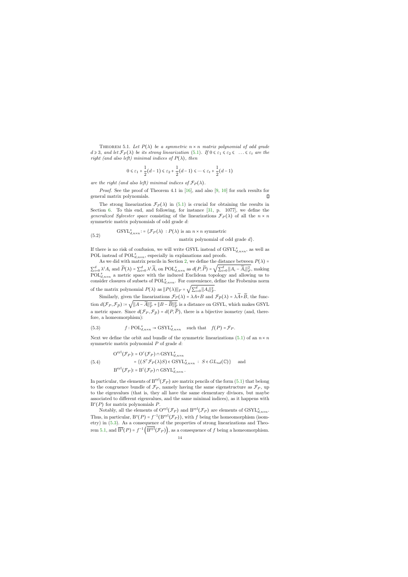THEOREM 5.1. Let  $P(\lambda)$  be a symmetric  $n \times n$  matrix polynomial of odd grade  $d \geqslant 3$ , and let  $\mathcal{F}_P(\lambda)$  be its strong linearization [\(5.1\)](#page-13-2). If  $0 \leqslant \varepsilon_1 \leqslant \varepsilon_2 \leqslant \ldots \leqslant \varepsilon_t$  are the right (and also left) minimal indices of  $P(\lambda)$ , then

$$
0 \le \varepsilon_1 + \frac{1}{2}(d-1) \le \varepsilon_2 + \frac{1}{2}(d-1) \le \dots \le \varepsilon_t + \frac{1}{2}(d-1)
$$

are the right (and also left) minimal indices of  $\mathcal{F}_P(\lambda)$ .

*Proof.* See the proof of Theorem 4.1 in [\[16\]](#page-24-8), and also [\[9,](#page-24-18) [10\]](#page-24-19) for such results for general matrix polynomials.  $\Box$ 

The strong linearization  $\mathcal{F}_P(\lambda)$  in [\(5.1\)](#page-13-2) is crucial for obtaining the results in Section [6.](#page-15-0) To this end, and following, for instance [\[31,](#page-25-14) p. 1077], we define the generalized Sylvester space consisting of the linearizations  $\mathcal{F}_P(\lambda)$  of all the  $n \times n$ symmetric matrix polynomials of odd grade d:

(5.2) 
$$
\text{GSYL}_{d,n \times n}^{s} := \{ \mathcal{F}_P(\lambda) : P(\lambda) \text{ is an } n \times n \text{ symmetric} \}
$$
  
matrix polynomial of odd grade  $d \}.$ 

If there is no risk of confusion, we will write GSYL instead of  $\text{GSYL}_{d,n\times n}^s$ , as well as POL instead of  $\text{POL}_{d,n \times n}^s$ , especially in explanations and proofs.

As we did with matrix pencils in Section [2,](#page-4-0) we define the distance between  $P(\lambda)$  =  $\sum_{i=0}^d \lambda^i A_i$  and  $\widetilde{P}(\lambda) = \sum_{i=0}^d \lambda^i \widetilde{A}_i$  on  $\text{POL}_{d,n \times n}^s$  as  $d(P, \widetilde{P}) =$ √  $\sum_{i=0}^d ||A_i - \widetilde{A}_i||_F^2$ , making  $POL_{d,n\times n}^{s}$  a metric space with the induced Euclidean topology and allowing us to consider closures of subsets of  $\text{POL}_{d,n\times n}^s$ . For convenience, define the Frobenius norm of the matrix polynomial  $P(\lambda)$  as  $||P(\lambda)||_F = \sqrt{\sum_{i=0}^d ||A_i||_F^2}$ .

Similarly, given the linearizations  $\mathcal{F}_P(\lambda) = \lambda A + B$  and  $\mathcal{F}_{\widetilde{P}}(\lambda) = \lambda \widetilde{A} + \widetilde{B}$ , the function  $d(\mathcal{F}_P, \mathcal{F}_{\widetilde{P}}) \coloneqq \sqrt{||A - \widetilde{A}||_F^2 + ||B - \widetilde{B}||_F^2}$  is a distance on GSYL, which makes GSYL a metric space. Since  $d(\mathcal{F}_P, \mathcal{F}_{\widetilde{P}}) = d(P, \widetilde{P})$ , there is a bijective isometry (and, therefore, a homeomorphism):

(5.3) 
$$
f: \text{POL}_{d,n\times n}^s \to \text{GSYL}_{d,n\times n}^s \quad \text{such that} \quad f(P) = \mathcal{F}_P.
$$

Next we define the orbit and bundle of the symmetric linearizations [\(5.1\)](#page-13-2) of an  $n \times n$ symmetric matrix polynomial P of grade d:

(5.4)  
\n
$$
O^{syl}(\mathcal{F}_P) := O^c(\mathcal{F}_P) \cap \text{GSYL}_{d,n \times n}^s
$$
\n
$$
= \{ (S^{\top} \mathcal{F}_P(\lambda) S) \in \text{GSYL}_{d,n \times n}^s : S \in GL_{nd}(\mathbb{C}) \} \text{ and }
$$
\n
$$
B^{syl}(\mathcal{F}_P) := B^c(\mathcal{F}_P) \cap \text{GSYL}_{d,n \times n}^s.
$$

In particular, the elements of  $B^{syl}(\mathcal{F}_P)$  are matrix pencils of the form [\(5.1\)](#page-13-2) that belong to the congruence bundle of  $\mathcal{F}_P$ , namely having the same eigenstructure as  $\mathcal{F}_P$ , up to the eigenvalues (that is, they all have the same elementary divisors, but maybe associated to different eigenvalues, and the same minimal indices), as it happens with  $B^c(P)$  for matrix polynomials P.

<span id="page-14-0"></span>Notably, all the elements of  $O^{syl}(\mathcal{F}_P)$  and  $B^{syl}(\mathcal{F}_P)$  are elements of  $GSYL^s_{d,n\times n}$ . Thus, in particular,  $B^{s}(P) = f^{-1}(B^{syl}(\mathcal{F}_P))$ , with f being the homeomorphism (isometry) in [\(5.3\)](#page-14-0). As a consequence of the properties of strong linearizations and Theo-rem [5.1,](#page-13-0) and  $\overline{B^s}(P)$  =  $f^{-1}(B^{syl}(\mathcal{F}_P))$ , as a consequence of f being a homeomorphism.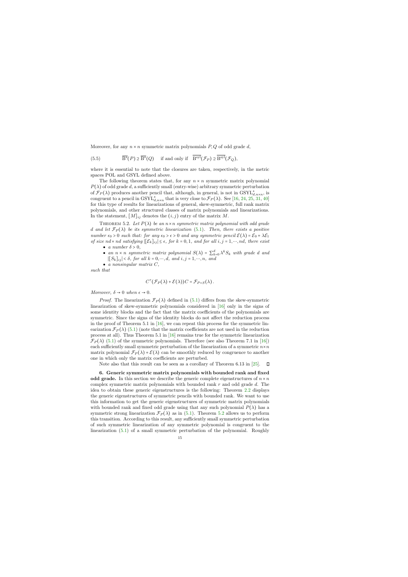Moreover, for any  $n \times n$  symmetric matrix polynomials  $P, Q$  of odd grade d,

(5.5) 
$$
\overline{B^s}(P) \supseteq \overline{B^s}(Q) \text{ if and only if } \overline{B^{syl}}(\mathcal{F}_P) \supseteq \overline{B^{syl}}(\mathcal{F}_Q),
$$

where it is essential to note that the closures are taken, respectively, in the metric spaces POL and GSYL defined above.

The following theorem states that, for any  $n \times n$  symmetric matrix polynomial  $P(\lambda)$  of odd grade d, a sufficiently small (entry-wise) arbitrary symmetric perturbation of  $\mathcal{F}_P(\lambda)$  produces another pencil that, although, in general, is not in  $GSYL^s_{d,n \times n}$ , is congruent to a pencil in  $GSYL^s_{d,n \times n}$  that is very close to  $\mathcal{F}_P(\lambda)$ . See [\[16,](#page-24-8) [24,](#page-25-15) [25,](#page-25-16) [31,](#page-25-14) [40\]](#page-25-17) for this type of results for linearizations of general, skew-symmetric, full rank matrix polynomials, and other structured classes of matrix polynomials and linearizations. In the statement,  $[M]_{ij}$  denotes the  $(i, j)$  entry of the matrix M.

THEOREM 5.2. Let  $P(\lambda)$  be an  $n \times n$  symmetric matrix polynomial with odd grade d and let  $\mathcal{F}_P(\lambda)$  be its symmetric linearization [\(5.1\)](#page-13-2). Then, there exists a positive number  $\epsilon_0 > 0$  such that: for any  $\epsilon_0 > \epsilon > 0$  and any symmetric pencil  $\mathcal{E}(\lambda) = \mathcal{E}_0 + \lambda \mathcal{E}_1$ of size nd × nd satisfying  $\left[\mathcal{E}_k\right]_{ij} \leq \epsilon$ , for  $k = 0, 1$ , and for all  $i, j = 1, \dots, nd$ , there exist

- a number  $\delta > 0$ ,
- an  $n \times n$  symmetric matrix polynomial  $S(\lambda) = \sum_{k=0}^{d} \lambda^k S_k$  with grade d and  $|[S_k]_{ij}| < \delta$ , for all  $k = 0, \dots, d$ , and  $i, j = 1, \dots, n$ , and
- $\bullet$  a nonsingular matrix  $C$ ,

<span id="page-15-2"></span>such that

$$
C^{\top}(\mathcal{F}_P(\lambda)+\mathcal{E}(\lambda))C=\mathcal{F}_{P+S}(\lambda).
$$

Moreover,  $\delta \to 0$  when  $\epsilon \to 0$ .

<span id="page-15-1"></span>*Proof.* The linearization  $\mathcal{F}_P(\lambda)$  defined in [\(5.1\)](#page-13-2) differs from the skew-symmetric linearization of skew-symmetric polynomials considered in [\[16\]](#page-24-8) only in the signs of some identity blocks and the fact that the matrix coefficients of the polynomials are symmetric. Since the signs of the identity blocks do not affect the reduction process in the proof of Theorem 5.1 in  $[16]$ , we can repeat this process for the symmetric linearization  $\mathcal{F}_P(\lambda)$  [\(5.1\)](#page-13-2) (note that the matrix coefficients are not used in the reduction process at all). Thus Theorem 5.1 in [\[16\]](#page-24-8) remains true for the symmetric linearization  $\mathcal{F}_P(\lambda)$  [\(5.1\)](#page-13-2) of the symmetric polynomials. Therefore (see also Theorem 7.1 in [\[16\]](#page-24-8)) each sufficiently small symmetric perturbation of the linearization of a symmetric  $n \times n$ matrix polynomial  $\mathcal{F}_P(\lambda) + \mathcal{E}(\lambda)$  can be smoothly reduced by congruence to another one in which only the matrix coefficients are perturbed.

Note also that this result can be seen as a corollary of Theorem 6.13 in [\[25\]](#page-25-16).  $\Box$ 

<span id="page-15-0"></span>6. Generic symmetric matrix polynomials with bounded rank and fixed odd grade. In this section we describe the generic complete eigenstructures of  $n \times n$ complex symmetric matrix polynomials with bounded rank  $r$  and odd grade  $d$ . The idea to obtain these generic eigenstructures is the following: Theorem [2.2](#page-5-2) displays the generic eigenstructures of symmetric pencils with bounded rank. We want to use this information to get the generic eigenstructures of symmetric matrix polynomials with bounded rank and fixed odd grade using that any such polynomial  $P(\lambda)$  has a symmetric strong linearization  $\mathcal{F}_P(\lambda)$  as in [\(5.1\)](#page-13-2). Theorem [5.2](#page-15-1) allows us to perform this transition. According to this result, any sufficiently small symmetric perturbation of such symmetric linearization of any symmetric polynomial is congruent to the linearization [\(5.1\)](#page-13-2) of a small symmetric perturbation of the polynomial. Roughly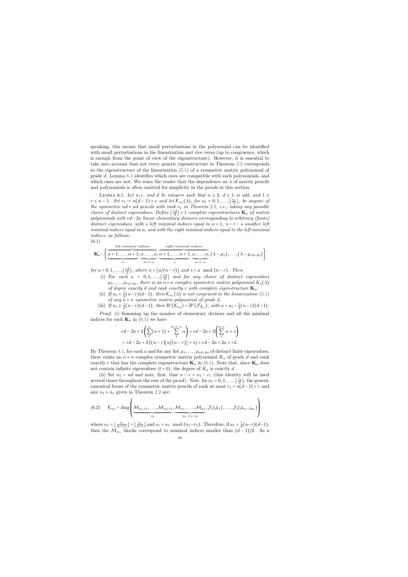speaking, this means that small perturbations in the polynomial can be identified with small perturbations in the linearization and vice versa (up to congruence, which is enough from the point of view of the eigenstructure). However, it is essential to take into account that not every generic eigenstructure in Theorem [2.2](#page-5-2) corresponds to the eigenstructure of the linearization [\(5.1\)](#page-13-2) of a symmetric matrix polynomial of grade d. Lemma [6.1](#page-16-0) identifies which ones are compatible with such polynomials, and which ones are not. We warn the reader that the dependence on  $\lambda$  of matrix pencils and polynomials is often omitted for simplicity in the proofs in this section.

LEMMA 6.1. Let n, r, and d be integers such that  $n \geq 2$ ,  $d \geq 1$  is odd, and  $1 \leq$  $r \leq n-1$ . Set  $r_1 := n(d-1) + r$  and let  $\mathcal{K}_{a_1}(\lambda)$ , for  $a_1 = 0, 1, \ldots, \lfloor \frac{r_1}{2} \rfloor$ , be anyone of the symmetric  $nd \times nd$  pencils with rank  $r_1$  in Theorem [2.2](#page-5-2), i.e., taking any possible choice of distinct eigenvalues. Define  $\lfloor \frac{rd}{2} \rfloor + 1$  complete eigenstructures  $\mathbf{K}_a$  of matrix polynomials with rd−2a linear elementary divisors corresponding to arbitrary (finite) distinct eigenvalues, with s left minimal indices equal to  $\alpha + 1$ ,  $n - r - s$  another left minimal indices equal to  $\alpha$ , and with the right minimal indices equal to the left minimal indices, as follows:

$$
(6.1)
$$

$$
\mathbf{K}_{a}: \left\{ \underbrace{\overbrace{\alpha+1,\ldots,\alpha+1}^{left \text{ minimal indices}},\overbrace{\alpha,\ldots,\alpha}^{right \text{ right minimal indices}},\overbrace{\alpha+1,\ldots,\alpha+1,\alpha,\ldots,\alpha}^{right \text{ indices}},(\lambda-\mu_{1}),\ldots,(\lambda-\mu_{rd-2a}) \right\}
$$

<span id="page-16-0"></span>for  $a = 0, 1, \ldots, \lfloor \frac{rd}{2} \rfloor$ , where  $\alpha = \lfloor a/(n-r) \rfloor$  and  $s = a \mod (n-r)$ . Then

- (i) For each  $a = [0, 1, \ldots, \lfloor \frac{rd}{2} \rfloor]$  and for any choice of distinct eigenvalues  $\mu_1, \ldots, \mu_{rd-2a}$ , there is an  $n \times n$  complex symmetric matrix polynomial  $K_a(\lambda)$ of degree exactly d and rank exactly r with complete eigenstructure  $\mathbf{K}_a$ .
- (ii) If  $a_1 < \frac{1}{2}(n-r)(d-1)$ , then  $\mathcal{K}_{a_1}(\lambda)$  is not congruent to the linearization [\(5.1\)](#page-13-2) of any  $\overline{n} \times n$  symmetric matrix polynomial of grade d.

(iii) If 
$$
a_1 \ge \frac{1}{2}(n-r)(d-1)
$$
, then  $B^c(\mathcal{K}_{a_1}) = B^c(\mathcal{F}_{K_a})$ , with  $a = a_1 - \frac{1}{2}(n-r)(d-1)$ .

*Proof.* (i) Summing up the number of elementary divisors and all the minimal indices for each  $\mathbf{K}_a$  in [\(6.1\)](#page-16-1) we have

$$
rd - 2a + 2\left(\sum_{1}^{s} (\alpha + 1) + \sum_{1}^{n-r-s} \alpha\right) = rd - 2a + 2\left(\sum_{1}^{n-r} \alpha + s\right)
$$
  
= rd - 2a + 2((n - r)\lfloor a/(n - r) \rfloor + s) = rd - 2a + 2a = rd.

<span id="page-16-1"></span>By Theorem [4.1,](#page-9-0) for each a and for any list  $\mu_1, \ldots, \mu_{rd-2a}$  of distinct finite eigenvalues, there exists an  $n \times n$  complex symmetric matrix polynomial  $K_a$  of grade d and rank exactly r that has the complete eigenstructure  $\mathbf{K}_a$  in [\(6.1\)](#page-16-1). Note that, since  $\mathbf{K}_a$  does not contain infinite eigenvalues  $(t = 0)$ , the degree of  $K_a$  is exactly d.

(ii) Set  $n_1 = nd$  and note, first, that  $n - r = n_1 - r_1$  (this identity will be used several times throughout the rest of the proof). Now, for  $a_1 = 0, 1, \ldots, \lfloor \frac{r_1}{2} \rfloor$ , the generic canonical forms of the symmetric matrix pencils of rank at most  $r_1 = n(d-1) + r$  and size  $n_1 \times n_1$  given in Theorem [2.2](#page-5-2) are:

(6.2) 
$$
\mathcal{K}_{a_1} = \text{diag}\left(\underbrace{\mathcal{M}_{\alpha_1+1}, \dots, \mathcal{M}_{\alpha_1+1}}_{s_1}, \underbrace{\mathcal{M}_{\alpha_1}, \dots, \mathcal{M}_{\alpha_1}}_{n_1-r_1-s_1}, \mathcal{J}_1(\tilde{\mu}_1), \dots, \mathcal{J}_1(\tilde{\mu}_{r_1-2a_1})\right),
$$

<span id="page-16-2"></span>where  $\alpha_1 = \lfloor \frac{a_1}{n_1 - r_1} \rfloor = \lfloor \frac{a_1}{n - r} \rfloor$  and  $s_1 = a_1 \mod (n_1 - r_1)$ . Therefore, if  $a_1 < \frac{1}{2}(n - r)(d - 1)$ , then the  $\mathcal{M}_{\alpha_1}$  blocks correspond to minimal indices smaller than  $(d-1)/2$ . As a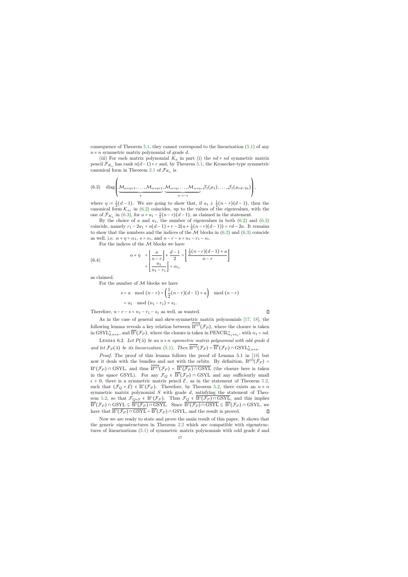consequence of Theorem [5.1,](#page-13-0) they cannot correspond to the linearization [\(5.1\)](#page-13-2) of any  $n \times n$  symmetric matrix polynomial of grade d.

(iii) For each matrix polynomial  $K_a$  in part (i) the  $nd \times nd$  symmetric matrix pencil  $\mathcal{F}_{K_a}$  has rank  $n(d-1)+r$  and, by Theorem [5.1,](#page-13-0) the Kronecker-type symmetric canonical form in Theorem [2.1](#page-5-0) of  $\mathcal{F}_{K_a}$  is

(6.3) diag
$$
\left(\underbrace{\mathcal{M}_{\alpha+\eta+1}, \dots, \mathcal{M}_{\alpha+\eta+1}}_{s}, \underbrace{\mathcal{M}_{\alpha+\eta}, \dots, \mathcal{M}_{\alpha+\eta}}_{n-r-s}, \mathcal{J}_{1}(\mu_{1}), \dots, \mathcal{J}_{1}(\mu_{rd-2a})\right),
$$

where  $\eta := \frac{1}{2}(d-1)$ . We are going to show that, if  $a_1 \geq \frac{1}{2}(n-r)(d-1)$ , then the canonical form  $\mathcal{K}_{a_1}$  in [\(6.2\)](#page-16-2) coincides, up to the values of the eigenvalues, with the one of  $\mathcal{F}_{K_a}$  in [\(6.3\)](#page-17-0), for  $a = a_1 - \frac{1}{2}(n-r)(d-1)$ , as claimed in the statement.

By the choice of a and  $a_1$ , the number of eigenvalues in both  $(6.2)$  and  $(6.3)$ coincide, namely  $r_1 - 2a_1 = n(d-1) + r - 2(a + \frac{1}{2}(n-r)(d-1)) = rd - 2a$ . It remains to show that the numbers and the indices of the  $M$  blocks in  $(6.2)$  and  $(6.3)$  coincide as well, i.e.  $\alpha + \eta = \alpha_1$ ,  $s = s_1$ , and  $n - r - s = n_1 - r_1 - s_1$ .

For the indices of the  ${\mathcal M}$  blocks we have

(6.4) 
$$
\alpha + \eta = \left[ \frac{a}{n-r} \right] + \frac{d-1}{2} = \left[ \frac{\frac{1}{2}(n-r)(d-1) + a}{n-r} \right] = \left[ \frac{a_1}{n_1 - r_1} \right] = \alpha_1,
$$

<span id="page-17-0"></span>as claimed.

For the number of  $M$  blocks we have

$$
s = a \mod (n-r) = \left(\frac{1}{2}(n-r)(d-1) + a\right) \mod (n-r) = a_1 \mod (n_1 - r_1) = s_1.
$$

Therefore,  $n - r - s = n_1 - r_1 - s_1$  as well, as wanted.

 $\Box$ 

As in the case of general and skew-symmetric matrix polynomials [\[17,](#page-24-2) [18\]](#page-24-3), the following lemma reveals a key relation between  $B^{\text{syl}}(\mathcal{F}_P)$ , where the closure is taken in  $\mathrm{GSYL}_{d,n\times n}^{s}$ , and  $\overline{\mathrm{B}^c}(\mathcal{F}_P)$ , where the closure is taken in  $\mathrm{PENCIL}_{n_1\times n_1}^{s}$ , with  $n_1 = nd$ .

LEMMA 6.2. Let  $P(\lambda)$  be an  $n \times n$  symmetric matrix polynomial with odd grade d and let  $\mathcal{F}_P(\lambda)$  be its linearization [\(5.1\)](#page-13-2). Then  $\mathcal{B}^{\text{syl}}(\mathcal{F}_P) = \overline{\mathcal{B}^c}(\mathcal{F}_P) \cap \text{GSYL}_{d,n \times n}^s$ .

Proof. The proof of this lemma follows the proof of Lemma 5.1 in [\[18\]](#page-24-3) but now it deals with the bundles and not with the orbits. By definition,  $B^{syl}(\mathcal{F}_P)$  =  $B^c(\mathcal{F}_P) \cap \text{GSYL}$ , and thus  $B^{syl}(\mathcal{F}_P) = \overline{B^c(\mathcal{F}_P) \cap \text{GSYL}}$  (the closure here is taken in the space GSYL). For any  $\mathcal{F}_Q \in \overline{B^c}(\mathcal{F}_P) \cap \text{GSYL}$  and any sufficiently small  $\epsilon > 0$ , there is a symmetric matrix pencil  $\mathcal{E}$ , as in the statement of Theorem [5.2,](#page-15-1) such that  $(\mathcal{F}_Q + \mathcal{E}) \in B^c(\mathcal{F}_P)$ . Therefore, by Theorem [5.2,](#page-15-1) there exists an  $n \times n$ symmetric matrix polynomial  $S$  with grade  $d$ , satisfying the statement of Theo-rem [5.2,](#page-15-1) so that  $\mathcal{F}_{Q+S} \in B^c(\mathcal{F}_P)$ . Thus  $\mathcal{F}_Q \in \overline{B^c(\mathcal{F}_P) \cap \text{GSYL}}$ , and this implies  $\overline{B^c}(\mathcal{F}_P) \cap \text{GSYL} \subseteq \overline{B^c(\mathcal{F}_P) \cap \text{GSYL}}$ . Since  $\overline{B^c(\mathcal{F}_P) \cap \text{GSYL}} \subseteq \overline{B^c}(\mathcal{F}_P) \cap \text{GSYL}}$ , we have that  $\overline{B^c(\mathcal{F}_P) \cap \text{GSYL}} = \overline{B^c}(\mathcal{F}_P) \cap \text{GSYL}$ , and the result is proved.  $\Box$ 

<span id="page-17-1"></span>Now we are ready to state and prove the main result of this paper. It shows that the generic eigenstructures in Theorem [2.2](#page-5-2) which are compatible with eigenstructures of linearizations [\(5.1\)](#page-13-2) of symmetric matrix polynomials with odd grade d and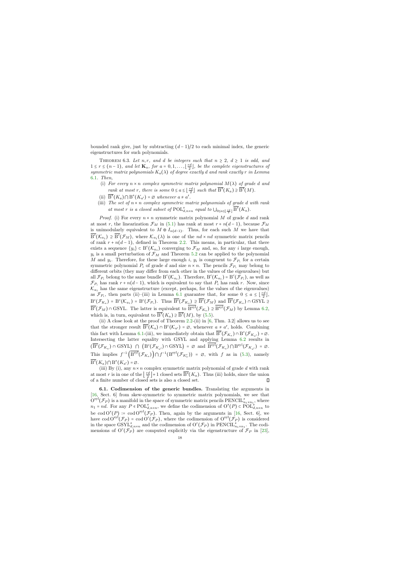bounded rank give, just by subtracting  $(d-1)/2$  to each minimal index, the generic eigenstructures for such polynomials.

THEOREM 6.3. Let n, r, and d be integers such that  $n \geq 2$ ,  $d \geq 1$  is odd, and  $1 \leq r \leq (n-1)$ , and let  $\mathbf{K}_a$ , for  $a = 0, 1, \ldots, \lfloor \frac{rd}{2} \rfloor$ , be the complete eigenstructures of symmetric matrix polynomials  $K_a(\lambda)$  of degree exactly d and rank exactly r in Lemma [6.1](#page-16-0). Then,

- (i) For every  $n \times n$  complex symmetric matrix polynomial  $M(\lambda)$  of grade d and rank at most r, there is some  $0 \le a \le \lfloor \frac{rd}{2} \rfloor$  such that  $\overline{B^s}(K_a) \supseteq \overline{B^s}(M)$ .
- (ii)  $\overline{B^s}(K_a) \cap B^s(K_{a'}) = \emptyset$  whenever  $a \neq a'$ .
- (iii) The set of  $n \times n$  complex symmetric matrix polynomials of grade d with rank at most r is a closed subset of  $\text{POL}_{d,n\times n}^s$  equal to  $\bigcup_{0\leq a\leq \lfloor \frac{rd}{2} \rfloor} \overline{B^s}(K_a)$ .

<span id="page-18-0"></span>*Proof.* (i) For every  $n \times n$  symmetric matrix polynomial M of grade d and rank at most r, the linearization  $\mathcal{F}_M$  in [\(5.1\)](#page-13-2) has rank at most  $r + n(d-1)$ , because  $\mathcal{F}_M$ is unimodularly equivalent to  $M \oplus I_{n(d-1)}$ . Thus, for each such M we have that  $\overline{B^c}(\mathcal{K}_{a_1}) \supseteq \overline{B^c}(\mathcal{F}_M)$ , where  $\mathcal{K}_{a_1}(\lambda)$  is one of the  $nd \times nd$  symmetric matrix pencils of rank  $r + n(d-1)$ , defined in Theorem [2.2.](#page-5-2) This means, in particular, that there exists a sequence  $\{y_i\} \subset B^c(\mathcal{K}_{a_1})$  converging to  $\mathcal{F}_M$  and, so, for any i large enough,  $y_i$  is a small perturbation of  $\mathcal{F}_M$  and Theorem [5.2](#page-15-1) can be applied to the polynomial M and  $y_i$ . Therefore, for these large enough i,  $y_i$  is congruent to  $\mathcal{F}_{P_i}$  for a certain symmetric polynomial  $P_i$  of grade d and size  $n \times n$ . The pencils  $\mathcal{F}_{P_i}$  may belong to different orbits (they may differ from each other in the values of the eigenvalues) but all  $\mathcal{F}_{P_i}$  belong to the same bundle  $B^c(\mathcal{K}_{a_1})$ . Therefore,  $B^c(\mathcal{K}_{a_1}) = B^c(\mathcal{F}_{P_i})$ , as well as  $\mathcal{F}_{P_i}$  has rank  $r + n(d-1)$ , which is equivalent to say that  $P_i$  has rank r. Now, since  $\mathcal{K}_{a_1}$  has the same eigenstructure (except, perhaps, for the values of the eigenvalues) as  $\mathcal{F}_{P_i}$ , then parts (ii)–(iii) in Lemma [6.1](#page-16-0) guarantee that, for some  $0 \le a \le \lfloor \frac{rd}{2} \rfloor$ ,  $B^c(\mathcal{F}_{K_a}) = B^c(\mathcal{K}_{a_1}) = B^c(\mathcal{F}_{P_i})$ . Thus  $\overline{B^c}(\mathcal{F}_{K_a}) \supseteq \overline{B^c}(\mathcal{F}_M)$  and  $\overline{B^c}(\mathcal{F}_{K_a}) \cap \text{GSYL} \supseteq$  $\overline{B^c}(\mathcal{F}_M) \cap \text{GSYL}$ . The latter is equivalent to  $B^{syl}(\mathcal{F}_{K_a}) \supseteq B^{syl}(\mathcal{F}_M)$  by Lemma [6.2,](#page-17-1) which is, in turn, equivalent to  $\overline{B^s}(K_a) \supseteq \overline{B^s}(M)$ , by [\(5.5\)](#page-15-2).

(ii) A close look at the proof of Theorem  $2.2$ -(ii) in [\[6,](#page-24-5) Thm. 3.2] allows us to see that the stronger result  $\overline{B}^c(\mathcal{K}_a) \cap B^c(\mathcal{K}_{a'}) = \emptyset$ , whenever  $a \neq a'$ , holds. Combining this fact with Lemma [6.1-](#page-16-0)(iii), we immediately obtain that  $\overline{B}^c(\mathcal{F}_{K_a}) \cap B^c(\mathcal{F}_{K_{a'}}) = \emptyset$ . Intersecting the latter equality with GSYL and applying Lemma [6.2](#page-17-1) results in  $(\overline{B^c}(\mathcal{F}_{K_a}) \cap \text{GSYL}) \cap (B^c(\mathcal{F}_{K_{a'}}) \cap \text{GSYL}) = \emptyset$  and  $B^{syl}(\mathcal{F}_{K_a}) \cap B^{syl}(\mathcal{F}_{K_{a'}}) = \emptyset$ . This implies  $f^{-1}(\mathcal{B}^{\text{syl}}(\mathcal{F}_{K_a})\big) \cap f^{-1}(\mathcal{B}^{\text{syl}}(\mathcal{F}_{K'_a})) = \emptyset$ , with f as in [\(5.3\)](#page-14-0), namely  $\overline{\mathrm{B}^s}(K_a)\cap \mathrm{B}^s(K_{a'})=\varnothing.$ 

(iii) By (i), any  $n \times n$  complex symmetric matrix polynomial of grade d with rank at most r is in one of the  $\left\lfloor \frac{rd}{2} \right\rfloor + 1$  closed sets  $\overline{B^s}(K_a)$ . Thus (iii) holds, since the union  $\Box$ of a finite number of closed sets is also a closed set.

6.1. Codimension of the generic bundles. Translating the arguments in [\[16,](#page-24-8) Sect. 6] from skew-symmetric to symmetric matrix polynomials, we see that  $\mathrm{O}^{\mathrm{syl}}(\mathcal{F}_P)$  is a manifold in the space of symmetric matrix pencils  $\mathrm{PENCIL}_{n_1\times n_1}^s$ , where  $n_1 = nd$ . For any  $P \in \text{POL}_{d,n \times n}^s$ , we define the codimension of  $O^s(P) \subset \text{POL}_{d,n \times n}^s$  to be cod  $O^{s}(P)$  := cod  $O^{syl}(\mathcal{F}_P)$ . Then, again by the arguments in [\[16,](#page-24-8) Sect. 6], we have cod  $O^{syl}(\mathcal{F}_P)$  = cod  $O^c(\mathcal{F}_P)$ , where the codimension of  $O^{syl}(\mathcal{F}_P)$  is considered in the space  $\text{GSYL}_{d,n\times n}^s$  and the codimension of  $O^c(\mathcal{F}_P)$  in  $\text{PENCIL}_{n_1\times n_1}^s$ . The codimensions of  $O<sup>c</sup>(\mathcal{F}_P)$  are computed explicitly via the eigenstructure of  $\mathcal{F}_P$  in [\[23\]](#page-24-20),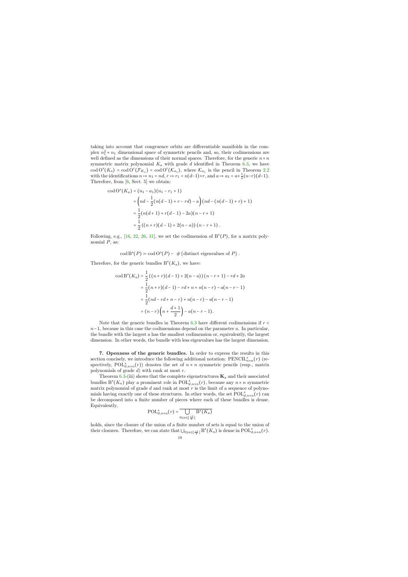taking into account that congruence orbits are differentiable manifolds in the complex  $n_1^2 + n_1$  dimensional space of symmetric pencils and, so, their codimensions are well defined as the dimensions of their normal spaces. Therefore, for the generic  $n \times n$ symmetric matrix polynomial  $K_a$  with grade d identified in Theorem [6.3,](#page-18-0) we have  $\text{cod } O^s(K_a) = \text{cod } O^c(\mathcal{F}_{K_a}) = \text{cod } O^c(\mathcal{K}_{a_1}), \text{ where } \mathcal{K}_{a_1} \text{ is the pencil in Theorem 2.2}$  $\text{cod } O^s(K_a) = \text{cod } O^c(\mathcal{F}_{K_a}) = \text{cod } O^c(\mathcal{K}_{a_1}), \text{ where } \mathcal{K}_{a_1} \text{ is the pencil in Theorem 2.2}$  $\text{cod } O^s(K_a) = \text{cod } O^c(\mathcal{F}_{K_a}) = \text{cod } O^c(\mathcal{K}_{a_1}), \text{ where } \mathcal{K}_{a_1} \text{ is the pencil in Theorem 2.2}$ with the identifications  $n \mapsto n_1 = nd$ ,  $r \mapsto r_1 = n(d-1)+r$ , and  $a \mapsto a_1 = a+\frac{1}{2}(n-r)(d-1)$ . Therefore, from [\[6,](#page-24-5) Sect. 5] we obtain:

$$
\begin{aligned} \text{cod}\, \mathcal{O}^s(K_a) &= (n_1 - a_1)(n_1 - r_1 + 1) \\ &= \left( nd - \frac{1}{2}(n(d-1) + r - rd) - a \right) (nd - (n(d-1) + r) + 1) \\ &= \frac{1}{2}(n(d+1) + r(d-1) - 2a)(n - r + 1) \\ &= \frac{1}{2} \left( (n+r)(d-1) + 2(n-a) \right) (n - r + 1) \,. \end{aligned}
$$

Following, e.g., [\[16,](#page-24-8) [22,](#page-24-6) [26,](#page-25-4) [31\]](#page-25-14), we set the codimension of  $B^{s}(P)$ , for a matrix polynomial  $P$ , as:

 $\operatorname{cod} B^s(P) \coloneqq \operatorname{cod} O^s(P) - \# \{\text{distinct eigenvalues of } P\}.$ 

Therefore, for the generic bundles  $B<sup>s</sup>(K<sub>a</sub>)$ , we have:

$$
\cot B^{s}(K_{a}) = \frac{1}{2} ((n+r)(d-1) + 2(n-a))(n-r+1) - rd + 2a
$$
  
=  $\frac{1}{2}(n+r)(d-1) - rd + n + n(n-r) - a(n-r-1)$   
=  $\frac{1}{2}(nd - rd + n - r) + n(n-r) - a(n-r-1)$   
=  $(n-r)\left(n + \frac{d+1}{2}\right) - a(n-r-1).$ 

Note that the generic bundles in Theorem [6.3](#page-18-0) have different codimensions if  $r <$  $n-1$ , because in this case the codimensions depend on the parameter a. In particular, the bundle with the largest  $\alpha$  has the smallest codimension or, equivalently, the largest dimension. In other words, the bundle with less eigenvalues has the largest dimension.

7. Openness of the generic bundles. In order to express the results in this section concisely, we introduce the following additional notation:  $\text{PENCIL}_{n \times n}^s(r)$  (respectively, POL<sup>s</sup><sub>d,n×n</sub>(r)) denotes the set of  $n \times n$  symmetric pencils (resp., matrix polynomials of grade  $d$ ) with rank at most  $r$ .

Theorem [6.3-](#page-18-0)(iii) shows that the complete eigenstructures  $\mathbf{K}_a$  and their associated bundles  $B^{s}(K_a)$  play a prominent role in  $\text{POL}_{d,n\times n}^s(r)$ , because any  $n\times n$  symmetric matrix polynomial of grade  $d$  and rank at most  $r$  is the limit of a sequence of polynomials having exactly one of these structures. In other words, the set  $\text{POL}_{d,n\times n}^s(r)$  can be decomposed into a finite number of pieces where each of these bundles is dense. Equivalently,

$$
\text{POL}_{d,n\times n}^s\big(r\big)=\overline{\bigcup_{0\leq a\leq \left\lfloor \frac{rd}{2}\right\rfloor} \text{B}^s\big(K_a\big)}
$$

<span id="page-19-0"></span>holds, since the closure of the union of a finite number of sets is equal to the union of their closures. Therefore, we can state that  $\bigcup_{0 \le a \le \lfloor \frac{rd}{2} \rfloor} B^s(K_a)$  is dense in  $\text{POL}_{d,n \times n}^s(r)$ .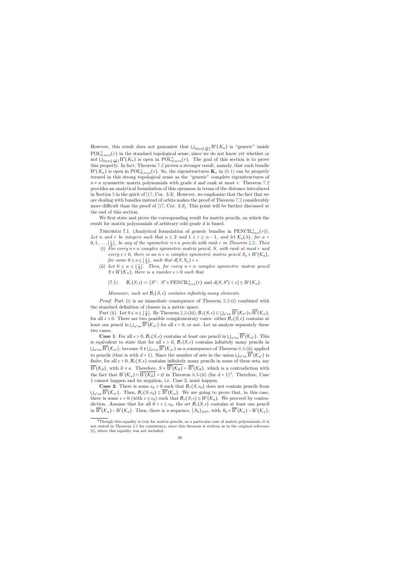However, this result does not guarantee that  $\bigcup_{0 \leq a \leq \lfloor \frac{rd}{2} \rfloor} B^s(K_a)$  is "generic" inside  $POL<sub>d,n×n</sub><sup>s</sup>(r)$  in the standard topological sense, since we do not know yet whether or not  $\bigcup_{0 \le a \le \lfloor \frac{rd}{2} \rfloor} B^s(K_a)$  is open in  $\text{POL}_{d,n \times n}^s(r)$ . The goal of this section is to prove this property. In fact, Theorem [7.2](#page-22-0) proves a stronger result, namely, that each bundle  $B^{s}(K_a)$  is open in POL<sub>d,n×n</sub>(r). So, the eigenstructures  $\mathbf{K}_a$  in [\(6.1\)](#page-16-1) can be properly termed in this strong topological sense as the "generic" complete eigenstructures of  $n \times n$  symmetric matrix polynomials with grade d and rank at most r. Theorem [7.2](#page-22-0) provides an analytical formulation of this openness in terms of the distance introduced in Section [5](#page-13-1) in the spirit of [\[17,](#page-24-2) Cor. 3.3]. However, we emphasize that the fact that we are dealing with bundles instead of orbits makes the proof of Theorem [7.2](#page-22-0) considerably more difficult than the proof of [\[17,](#page-24-2) Cor. 3.3]. This point will be further discussed at the end of this section.

We first state and prove the corresponding result for matrix pencils, on which the result for matrix polynomials of arbitrary odd grade d is based.

THEOREM 7.1. (Analytical formulation of generic bundles in  $\text{PENCIL}_{n \times n}^s(r)$ ). Let n and r be integers such that  $n \geq 2$  and  $1 \leq r \leq n-1$ , and let  $\mathcal{K}_a(\lambda)$ , for a =  $[0, 1, \ldots, \lfloor \frac{r}{2} \rfloor]$ , be any of the symmetric  $n \times n$  pencils with rank r in Theorem [2.2](#page-5-2). Then

- (i) For every  $n \times n$  complex symmetric matrix pencil, S, with rank at most r and every  $\epsilon > 0$ , there is an  $n \times n$  complex symmetric matrix pencil  $S_a \in B^c(\mathcal{K}_a)$ , for some  $0 \le a \le \lfloor \frac{r}{2} \rfloor$ , such that  $d(S, S_a) < \epsilon$ .
- (ii) Let  $0 \le a \le \lfloor \frac{r}{2} \rfloor$ . Then, for every  $n \times n$  complex symmetric matrix pencil  $S \in B^{c}(\mathcal{K}_{a})$ , there is a number  $\epsilon > 0$  such that

$$
(7.1) \qquad \mathcal{B}_r(S, \epsilon) \coloneqq \{S' :~ S' \in \mathrm{PENCIL}_{n \times n}^s(r)~\mathrm{and}~d(S, S') < \epsilon\} \subseteq \mathrm{B}^c(\mathcal{K}_a).
$$

Moveover, such set  $\mathcal{B}_r(S, \epsilon)$  contains infinitely many elements.

*Proof.* Part (i) is an immediate consequence of Theorem  $2.2-(i)$  $2.2-(i)$  combined with the standard definition of closure in a metric space.

Part (ii). Let  $0 \le a \le \lfloor \frac{r}{2} \rfloor$ . By Theorem [2.2-](#page-5-2)(iii),  $\mathcal{B}_r(S, \epsilon) \subseteq \bigcup_{a' \ne a} \overline{\mathrm{B}^c}(\mathcal{K}_{a'}) \cup \overline{\mathrm{B}^c}(\mathcal{K}_a)$ , for all  $\epsilon > 0$ . There are two possible complementary cases: either  $\mathcal{B}_r(S, \epsilon)$  contains at least one pencil in  $\bigcup_{a'\neq a} \overline{B^c}(\mathcal{K}_{a'})$  for all  $\epsilon > 0$ , or not. Let us analyze separately these two cases.

<span id="page-20-1"></span>**Case 1**: For all  $\epsilon > 0$ ,  $\mathcal{B}_r(S, \epsilon)$  contains at least one pencil in  $\bigcup_{a' \neq a} \overline{B^c}(\mathcal{K}_{a'})$ . This is equivalent to state that for all  $\epsilon > 0$ ,  $\mathcal{B}_r(S, \epsilon)$  contains infinitely many pencils in  $\bigcup_{a'\neq a} \overline{B^c}(\mathcal{K}_{a'})$ , because  $S \notin \bigcup_{a'\neq a} \overline{B^c}(\mathcal{K}_{a'})$  as a consequence of Theorem [6.3-](#page-18-0)(ii) applied to pencils (that is with  $d = 1$ ). Since the number of sets in the union  $\bigcup_{a'\neq a} \overline{B^c}(\mathcal{K}_{a'})$  is finite, for all  $\epsilon > 0$ ,  $\mathcal{B}_r(S, \epsilon)$  contains infinitely many pencils in some of these sets, say  $\overline{B^c}(\mathcal{K}_{\widetilde{\alpha}})$ , with  $\widetilde{a} \neq a$ . Therefore,  $S \in \overline{B^c}(\mathcal{K}_{\widetilde{\alpha}}) = \overline{B^c}(\mathcal{K}_{\widetilde{\alpha}})$ , which is a contradiction with the fact that  $B^c(\mathcal{K}_a) \cap \overline{B^c(\mathcal{K}_{\widetilde{a}})} = \varnothing$  in Theorem [6.3-](#page-18-0)(ii) (for  $d = 1)^2$  $d = 1)^2$ . Therefore, Case 1 cannot happen and its negation, i.e. Case 2, must happen.

<span id="page-20-2"></span>**Case 2:** There is some  $\epsilon_0 > 0$  such that  $\mathcal{B}_r(S, \epsilon_0)$  does not contain pencils from  $\bigcup_{a'\neq a} \overline{B^c}(\mathcal{K}_{a'})$ . Then,  $\mathcal{B}_r(S, \epsilon_0) \subseteq \overline{B^c}(\mathcal{K}_a)$ . We are going to prove that, in this case, there is some  $\epsilon > 0$  (with  $\epsilon \leq \epsilon_0$ ) such that  $\mathcal{B}_r(S, \epsilon) \subseteq B^c(\mathcal{K}_a)$ . We proceed by contradiction. Assume that for all  $0 < \epsilon \leq \epsilon_0$ , the set  $\mathcal{B}_r(S, \epsilon)$  contains at least one pencil in  $\overline{B}^c(\mathcal{K}_a) \setminus B^c(\mathcal{K}_a)$ . Then, there is a sequence,  $\{S_k\}_{k\in\mathbb{N}}$ , with  $S_k \in \overline{B}^c(\mathcal{K}_a) \setminus B^c(\mathcal{K}_a)$ ,

<span id="page-20-0"></span> $2$ Though this equality is true for matrix pencils, as a particular case of matrix polynomials, it is not stated in Theorem [2.2](#page-5-2) for consistency, since this theorem is written as in the original reference [\[6\]](#page-24-5), where this equality was not included.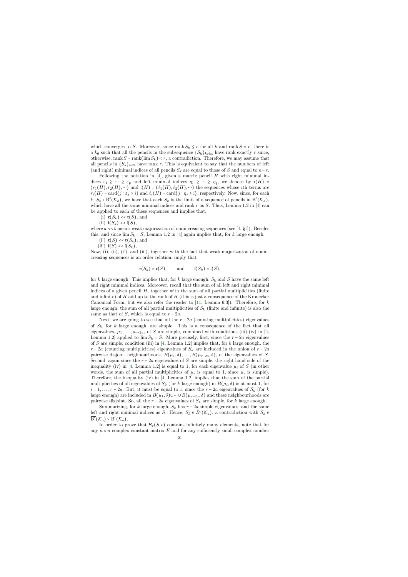which converges to S. Moreover, since rank  $S_k \leq r$  for all k and rank  $S = r$ , there is a  $k_0$  such that all the pencils in the subsequence  $\{S_k\}_{k\geq k_0}$  have rank exactly r since, otherwise, rank  $S = \text{rank}(\lim S_k) < r$ , a contradiction. Therefore, we may assume that all pencils in  ${S_k}_{k\in\mathbb{N}}$  have rank r. This is equivalent to say that the numbers of left (and right) minimal indices of all pencils  $S_k$  are equal to those of S and equal to  $n-r$ .

Following the notation in  $[4]$ , given a matrix pencil H with right minimal indices  $\varepsilon_1 \geq \cdots \geq \varepsilon_p$  and left minimal indices  $\eta_1 \geq \cdots \geq \eta_q$ , we denote by  $\mathfrak{r}(H)$  $(r_1(H), r_2(H), \dots)$  and  $I(H) = (\ell_1(H), \ell_2(H), \dots)$  the sequences whose *i*th terms are  $r_i(H) = \text{card}\{j : \varepsilon_j \geq i\}$  and  $\ell_i(H) = \text{card}\{j : \eta_j \geq i\}$ , respectively. Now, since, for each  $k, S_k \in \overline{\mathrm{B}^c}(\mathcal{K}_a)$ , we have that each  $S_k$  is the limit of a sequence of pencils in  $\mathrm{B}^c(\mathcal{K}_a)$ , which have all the same minimal indices and rank  $r$  as  $S$ . Thus, Lemma 1.2 in [\[4\]](#page-24-21) can be applied to each of these sequences and implies that,

- (i)  $\mathfrak{r}(S_k) \ll \mathfrak{r}(S)$ , and
- (ii)  $I(S_k) \ll I(S)$ ,

where  $a \ll b$  means weak majorization of nonincreasing sequences (see [\[4,](#page-24-21) §1]). Besides this, and since  $\lim S_k = S$ , Lemma 1.2 in [\[4\]](#page-24-21) again implies that, for k large enough,

- (i')  $\mathfrak{r}(S) \ll \mathfrak{r}(S_k)$ , and
- (ii')  $\mathfrak{l}(S) \prec \mathfrak{l}(S_k)$ ,

Now, (i), (ii), (i'), and (ii'), together with the fact that weak majorization of nonincreasing sequences is an order relation, imply that

$$
\mathfrak{r}(S_k) = \mathfrak{r}(S), \quad \text{and} \quad \mathfrak{l}(S_k) = \mathfrak{l}(S),
$$

for k large enough. This implies that, for k large enough,  $S_k$  and S have the same left and right minimal indices. Moreover, recall that the sum of all left and right minimal indices of a given pencil  $H$ , together with the sum of all partial multiplicities (finite and infinite) of  $H$  add up to the rank of  $H$  (this is just a consequence of the Kronecker Canonical Form, but we also refer the reader to  $[11, \text{ Lemma } 6.3]$  $[11, \text{ Lemma } 6.3]$ . Therefore, for k large enough, the sum of all partial multiplicities of  $S_k$  (finite and infinite) is also the same as that of S, which is equal to  $r - 2a$ .

Next, we are going to see that all the  $r - 2a$  (counting multiplicities) eigenvalues of  $S_k$ , for k large enough, are simple. This is a consequence of the fact that all eigenvalues,  $\mu_1, \ldots, \mu_{r-2a}$ , of S are simple, combined with conditions (iii)-(iv) in [\[4,](#page-24-21) Lemma 1.2] applied to  $\lim S_k = S$ . More precisely, first, since the  $r - 2a$  eigenvalues of S are simple, condition (iii) in  $[4, \text{ Lemma 1.2}]$  $[4, \text{ Lemma 1.2}]$  implies that, for k large enough, the  $r - 2a$  (counting multiplicities) eigenvalues of  $S_k$  are included in the union of  $r - 2a$ pairwise disjoint neighbourhoods,  $B(\mu_1, \delta), \ldots, B(\mu_{r-2a}, \delta)$ , of the eigenvalues of S. Second, again since the  $r - 2a$  eigenvalues of S are simple, the right hand side of the inequality (iv) in [\[4,](#page-24-21) Lemma 1.2] is equal to 1, for each eigenvalue  $\mu_i$  of S (in other words, the sum of all partial multiplicities of  $\mu_i$  is equal to 1, since  $\mu_i$  is simple). Therefore, the inequality (iv) in [\[4,](#page-24-21) Lemma 1.2] implies that the sum of the partial multiplicities of all eigenvalues of  $S_k$  (for k large enough) in  $B(\mu_i, \delta)$  is at most 1, for  $i = 1, \ldots, r - 2a$ . But, it must be equal to 1, since the  $r - 2a$  eigenvalues of  $S_k$  (for k large enough) are included in  $B(\mu_1, \delta) \cup \cdots \cup B(\mu_{r-2a}, \delta)$  and these neighbourhoods are pairwise disjoint. So, all the  $r - 2a$  eigenvalues of  $S_k$  are simple, for k large enough.

Summarizing, for k large enough,  $S_k$  has  $r - 2a$  simple eigenvalues, and the same left and right minimal indices as S. Hence,  $S_k \in B^c(\mathcal{K}_a)$ , a contradiction with  $S_k \in B^c(\mathcal{K}_a)$  $\overline{\mathrm{B}^c}(\mathcal{K}_a) \smallsetminus \mathrm{B}^c(\mathcal{K}_a).$ 

In order to prove that  $\mathcal{B}_r(S, \epsilon)$  contains infinitely many elements, note that for any  $n \times n$  complex constant matrix E and for any sufficiently small complex number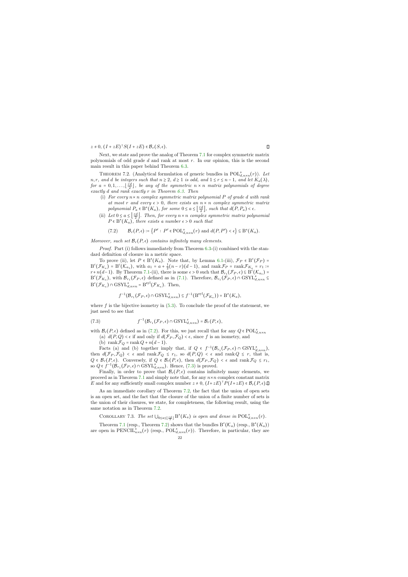$z \neq 0$ ,  $(I + zE)^{\dagger} S(I + zE) \in \mathcal{B}_r(S, \epsilon)$ .

Next, we state and prove the analog of Theorem [7.1](#page-20-1) for complex symmetric matrix polynomials of odd grade d and rank at most  $r$ . In our opinion, this is the second main result in this paper behind Theorem [6.3.](#page-18-0)

THEOREM 7.2. (Analytical formulation of generic bundles in  $\text{POL}_{d,n\times n}^s(r)$ ). Let n, r, and d be integers such that  $n \geq 2$ ,  $d \geq 1$  is odd, and  $1 \leq r \leq n-1$ , and let  $K_a(\lambda)$ , for  $a = 0, 1, \ldots, \lfloor \frac{rd}{2} \rfloor$ , be any of the symmetric  $n \times n$  matrix polynomials of degree exactly d and rank exactly r in Theorem [6.3.](#page-18-0) Then

- (i) For every  $n \times n$  complex symmetric matrix polynomial P of grade d with rank at most r and every  $\epsilon > 0$ , there exists an  $n \times n$  complex symmetric matrix polynomial  $P_a \in B^s(K_a)$ , for some  $0 \le a \le \left\lfloor \frac{rd}{2} \right\rfloor$ , such that  $d(P, P_a) < \epsilon$ .
- (ii) Let  $0 \le a \le \left\lfloor \frac{rd}{2} \right\rfloor$ . Then, for every  $n \times n$  complex symmetric matrix polynomial  $P \in B^{s}(K_a)$ , there exists a number  $\epsilon > 0$  such that

$$
(7.2) \qquad \mathcal{B}_r(P,\epsilon) \coloneqq \left\{ P' \,:\, P' \in \text{POL}_{d,n \times n}^s(r) \text{ and } d(P,P') < \epsilon \right\} \subseteq \text{B}^s(K_a).
$$

Moreover, such set  $\mathcal{B}_r(P, \epsilon)$  contains infinitely many elements.

Proof. Part (i) follows immediately from Theorem [6.3-](#page-18-0)(i) combined with the standard definition of closure in a metric space.

<span id="page-22-0"></span>To prove (ii), let  $P \in B^{s}(K_a)$ . Note that, by Lemma [6.1-](#page-16-0)(iii),  $\mathcal{F}_P \in B^{c}(\mathcal{F}_P)$  =  $B^{c}(\mathcal{F}_{K_a}) = B^{c}(\mathcal{K}_{a_1}),$  with  $a_1 = a + \frac{1}{2}(n-r)(d-1)$ , and  $\operatorname{rank} \mathcal{F}_{P} = \operatorname{rank} \mathcal{F}_{K_a} = r_1 :=$  $r+n(d-1)$ . By Theorem [7.1-](#page-20-1)(ii), there is some  $\epsilon > 0$  such that  $\mathcal{B}_{r_1}(\mathcal{F}_P, \epsilon) \subseteq \overline{B}^c(\mathcal{K}_{a_1}) =$  $B^c(\mathcal{F}_{K_a})$ , with  $\mathcal{B}_{r_1}(\mathcal{F}_P, \epsilon)$  defined as in [\(7.1\)](#page-20-2). Therefore,  $\mathcal{B}_{r_1}(\mathcal{F}_P, \epsilon) \cap \text{GSYL}_{d,n \times n}^s \subseteq$  $B^c(\mathcal{F}_{K_a}) \cap \text{GSYL}_{d,n \times n}^s = B^{syl}(\mathcal{F}_{K_a})$ . Then,

$$
f^{-1}(\mathcal{B}_{r_1}(\mathcal{F}_P, \epsilon) \cap \mathrm{GSYL}_{d,n \times n}^s) \subseteq f^{-1}(\mathrm{B}^{\mathrm{syl}}(\mathcal{F}_{K_a})) = \mathrm{B}^s(K_a),
$$

where  $f$  is the bijective isometry in  $(5.3)$ . To conclude the proof of the statement, we just need to see that

<span id="page-22-1"></span>(7.3) 
$$
f^{-1}(\mathcal{B}_{r_1}(\mathcal{F}_P,\epsilon)\cap \text{GSYL}_{d,n\times n}^s)=\mathcal{B}_r(P,\epsilon),
$$

with  $\mathcal{B}_r(P, \epsilon)$  defined as in [\(7.2\)](#page-22-1). For this, we just recall that for any  $Q \in \text{POL}_{d,n \times n}^s$ 

(a)  $d(P,Q) < \epsilon$  if and only if  $d(\mathcal{F}_P, \mathcal{F}_Q) < \epsilon$ , since f is an isometry, and

(b) rank  $\mathcal{F}_Q$  = rank  $Q + n(d-1)$ .

Facts (a) and (b) together imply that, if  $Q \in f^{-1}(\mathcal{B}_{r_1}(\mathcal{F}_P, \epsilon) \cap \text{GSYL}_{d,n \times n}^s)$ , then  $d(\mathcal{F}_P, \mathcal{F}_Q) < \epsilon$  and rank  $\mathcal{F}_Q \leq r_1$ , so  $d(P, Q) < \epsilon$  and rank  $Q \leq r$ , that is,  $Q \in \mathcal{B}_r(P, \epsilon)$ . Conversely, if  $Q \in \mathcal{B}_r(P, \epsilon)$ , then  $d(\mathcal{F}_P, \mathcal{F}_Q) < \epsilon$  and rank  $\mathcal{F}_Q \leq r_1$ , so  $Q \in f^{-1}(\mathcal{B}_{r_1}(\mathcal{F}_P, \epsilon) \cap \text{GSYL}_{d,n \times n}^s)$ . Hence, [\(7.3\)](#page-22-2) is proved.

Finally, in order to prove that  $\mathcal{B}_r(P, \epsilon)$  contains infinitely many elements, we proceed as in Theorem [7.1](#page-20-1) and simply note that, for any  $n \times n$  complex constant matrix E and for any sufficiently small complex number  $z \neq 0$ ,  $(I + zE)^{T} P(I + zE) \in \mathcal{B}_{r}(P, \epsilon)$ .

As an immediate corollary of Theorem [7.2,](#page-22-0) the fact that the union of open sets is an open set, and the fact that the closure of the union of a finite number of sets is the union of their closures, we state, for completeness, the following result, using the same notation as in Theorem [7.2.](#page-22-0)

COROLLARY 7.3. The set  $\bigcup_{0 \le a \le \lfloor \frac{rd}{2} \rfloor} B^s(K_a)$  is open and dense in  $\text{POL}_{d,n \times n}^s(r)$ .

<span id="page-22-2"></span>Theorem [7.1](#page-20-1) (resp., Theorem [7.2\)](#page-22-0) shows that the bundles  $B<sup>c</sup>(\mathcal{K}<sub>a</sub>)$  (resp.,  $B<sup>s</sup>(K<sub>a</sub>)$ ) are open in PENCIL<sup>s</sup><sub>n×n</sub>(r) (resp., POL<sub>d,n×n</sub>(r)). Therefore, in particular, they are

22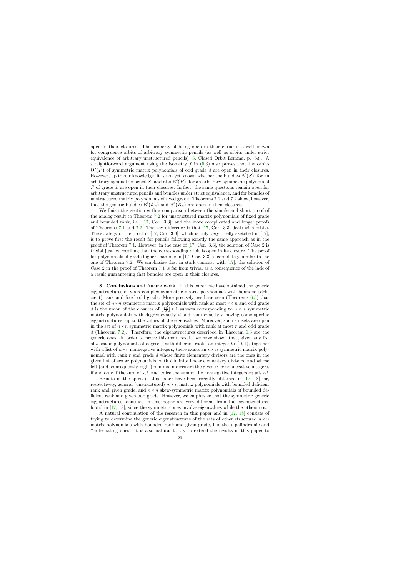open in their closures. The property of being open in their closures is well-known for congruence orbits of arbitrary symmetric pencils (as well as orbits under strict equivalence of arbitrary unstructured pencils) [\[3,](#page-24-22) Closed Orbit Lemma, p. 53]. A straightforward argument using the isometry  $f$  in [\(5.3\)](#page-14-0) also proves that the orbits  $O^{s}(P)$  of symmetric matrix polynomials of odd grade d are open in their closures. However, up to our knowledge, it is not yet known whether the bundles  $B<sup>c</sup>(S)$ , for an arbitrary symmetric pencil S, and also  $B<sup>s</sup>(P)$ , for an arbitrary symmetric polynomial P of grade d, are open in their closures. In fact, the same questions remain open for arbitrary unstructured pencils and bundles under strict equivalence, and for bundles of unstructured matrix polynomials of fixed grade. Theorems [7.1](#page-20-1) and [7.2](#page-22-0) show, however, that the generic bundles  $B^c(\mathcal{K}_a)$  and  $B^s(K_a)$  are open in their closures.

We finish this section with a comparison between the simple and short proof of the analog result to Theorem [7.2](#page-22-0) for unstructured matrix polynomials of fixed grade and bounded rank, i.e., [\[17,](#page-24-2) Cor. 3.3], and the more complicated and longer proofs of Theorems [7.1](#page-20-1) and [7.2.](#page-22-0) The key difference is that [\[17,](#page-24-2) Cor. 3.3] deals with orbits. The strategy of the proof of [\[17,](#page-24-2) Cor. 3.3], which is only very briefly sketched in [\[17\]](#page-24-2), is to prove first the result for pencils following exactly the same approach as in the proof of Theorem [7.1.](#page-20-1) However, in the case of [\[17,](#page-24-2) Cor. 3.3], the solution of Case 2 is trivial just by recalling that the corresponding orbit is open in its closure. The proof for polynomials of grade higher than one in [\[17,](#page-24-2) Cor. 3.3] is completely similar to the one of Theorem [7.2.](#page-22-0) We emphasize that in stark contrast with [\[17\]](#page-24-2), the solution of Case 2 in the proof of Theorem [7.1](#page-20-1) is far from trivial as a consequence of the lack of a result guaranteeing that bundles are open in their closures.

8. Conclusions and future work. In this paper, we have obtained the generic eigenstructures of  $n \times n$  complex symmetric matrix polynomials with bounded (deficient) rank and fixed odd grade. More precisely, we have seen (Theorems [6.3\)](#page-18-0) that the set of  $n \times n$  symmetric matrix polynomials with rank at most  $r < n$  and odd grade d is the union of the closures of  $\lfloor \frac{rd}{2} \rfloor + 1$  subsets corresponding to  $n \times n$  symmetric matrix polynomials with degree exactly  $d$  and rank exactly  $r$  having some specific eigenstructures, up to the values of the eigenvalues. Moreover, such subsets are open in the set of  $n \times n$  symmetric matrix polynomials with rank at most r and odd grade d (Theorem [7.2\)](#page-22-0). Therefore, the eigenstructures described in Theorem [6.3](#page-18-0) are the generic ones. In order to prove this main result, we have shown that, given any list of s scalar polynomials of degree 1 with different roots, an integer  $t \in \{0, 1\}$ , together with a list of  $n - r$  nonnegative integers, there exists an  $n \times n$  symmetric matrix polynomial with rank r and grade d whose finite elementary divisors are the ones in the given list of scalar polynomials, with  $t$  infinite linear elementary divisors, and whose left (and, consequently, right) minimal indices are the given  $n-r$  nonnegative integers, if and only if the sum of  $s, t$ , and twice the sum of the nonnegative integers equals  $rd$ .

<span id="page-23-0"></span>Results in the spirit of this paper have been recently obtained in [\[17,](#page-24-2) [18\]](#page-24-3) for, respectively, general (unstructured)  $m \times n$  matrix polynomials with bounded deficient rank and given grade, and  $n \times n$  skew-symmetric matrix polynomials of bounded deficient rank and given odd grade. However, we emphasize that the symmetric generic eigenstructures identified in this paper are very different from the eigenstructures found in [\[17,](#page-24-2) [18\]](#page-24-3), since the symmetric ones involve eigenvalues while the others not.

A natural continuation of the research in this paper and in [\[17,](#page-24-2) [18\]](#page-24-3) consists of trying to determine the generic eigenstructures of the sets of other structured  $n \times n$ matrix polynomials with bounded rank and given grade, like the ⊺-palindromic and ⊺-alternating ones. It is also natural to try to extend the results in this paper to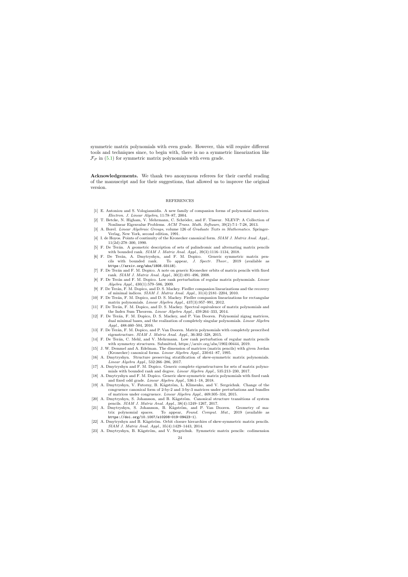symmetric matrix polynomials with even grade. However, this will require different tools and techniques since, to begin with, there is no a symmetric linearization like  $\mathcal{F}_P$  in [\(5.1\)](#page-13-2) for symmetric matrix polynomials with even grade.

Acknowledgements. We thank two anonymous referees for their careful reading of the manuscript and for their suggestions, that allowed us to improve the original version.

## REFERENCES

- [1] E. Antoniou and S. Vologiannidis. A new family of companion forms of polynomial matrices. Electron. J. Linear Algebra, 11:78–87, 2004.
- [2] T. Betcke, N. Higham, V. Mehrmann, C. Schröder, and F. Tisseur. NLEVP: A Collection of Nonlinear Eigenvalue Problems. ACM Trans. Math. Software, 39(2):7:1–7:28, 2013.
- [3] A. Borel. Linear Algebraic Groups, volume 126 of Graduate Texts in Mathematics. Springer-Verlag, New York, second edition, 1991.
- [4] I. de Hoyos. Points of continuity of the Kronecker canonical form. SIAM J. Matrix Anal. Appl., 11(2d):278–300, 1990.
- [5] F. De Terán. A geometric description of sets of palindromic and alternating matrix pencils with bounded rank. SIAM J. Matrix Anal. Appl., 39(3):1116–1134, 2018.
- [6] F. De Terán, A. Dmytryshyn, and F. M. Dopico. Generic symmetric matrix pencils with bounded rank. To appear, *J. Spectr. Theor.*, 2019 (available as To appear, J. Spectr. Theor., 2019 (available as https://arxiv.org/abs/1808.03118).
- [7] F. De Terán and F. M. Dopico. A note on generic Kronecker orbits of matrix pencils with fixed rank. SIAM J. Matrix Anal. Appl., 30(2):491–496, 2008.
- [8] F. De Terán and F. M. Dopico. Low rank perturbation of regular matrix polynomials. Linear Algebra Appl., 430(1):579–586, 2009.
- [9] F. De Terán, F. M. Dopico, and D. S. Mackey. Fiedler companion linearizations and the recovery of minimal indices. SIAM J. Matrix Anal. Appl., 31(4):2181–2204, 2010.
- [10] F. De Terán, F. M. Dopico, and D. S. Mackey. Fiedler companion linearizations for rectangular matrix polynomials. Linear Algebra Appl., 437(3):957–991, 2012.
- <span id="page-24-17"></span>[11] F. De Terán, F. M. Dopico, and D. S. Mackey. Spectral equivalence of matrix polynomials and the Index Sum Theorem. Linear Algebra Appl., 459:264–333, 2014.
- <span id="page-24-0"></span>[12] F. De Terán, F. M. Dopico, D. S. Mackey, and P. Van Dooren. Polynomial zigzag matrices, dual minimal bases, and the realization of completely singular polynomials. Linear Algebra Appl., 488:460–504, 2016.
- <span id="page-24-22"></span><span id="page-24-21"></span>[13] F. De Terán, F. M. Dopico, and P. Van Dooren. Matrix polynomials with completely prescribed eigenstructure. SIAM J. Matrix Anal. Appl., 36:302–328, 2015.
- <span id="page-24-4"></span>[14] F. De Terán, C. Mehl, and V. Mehrmann. Low rank perturbation of regular matrix pencils with symmetry structures. Submitted, https://arxiv.org/abs/1902.00444, 2019.
- <span id="page-24-5"></span>[15] J. W. Demmel and A. Edelman. The dimension of matrices (matrix pencils) with given Jordan (Kronecker) canonical forms. Linear Algebra Appl., 230:61–87, 1995.
- [16] A. Dmytryshyn. Structure preserving stratification of skew-symmetric matrix polynomials. Linear Algebra Appl., 532:266–286, 2017.
- <span id="page-24-1"></span>[17] A. Dmytryshyn and F. M. Dopico. Generic complete eigenstructures for sets of matrix polynomials with bounded rank and degree. Linear Algebra Appl., 535:213–230, 2017.
- <span id="page-24-11"></span>[18] A. Dmytryshyn and F. M. Dopico. Generic skew-symmetric matrix polynomials with fixed rank and fixed odd grade. Linear Algebra Appl., 536:1–18, 2018.
- <span id="page-24-18"></span>[19] A. Dmytryshyn, V. Futorny, B. Kågström, L. Klimenko, and V. Sergeichuk. Change of the congruence canonical form of 2-by-2 and 3-by-3 matrices under perturbations and bundles of matrices under congruence. Linear Algebra Appl., 469:305–334, 2015.
- <span id="page-24-19"></span><span id="page-24-9"></span>[20] A. Dmytryshyn, S. Johansson, and B. Kågström. Canonical structure transitions of system pencils. SIAM J. Matrix Anal. Appl., 38(4):1249–1267, 2017.
- <span id="page-24-15"></span>[21] A. Dmytryshyn, S. Johansson, B. Kågström, and P. Van Dooren. Geometry of matrix polynomial spaces. To appear, Found. Comput. Mat., 2019 (available as https://doi.org/10.1007/s10208-019-09423-1).
- [22] A. Dmytryshyn and B. Kågström. Orbit closure hierarchies of skew-symmetric matrix pencils. SIAM J. Matrix Anal. Appl., 35(4):1429–1443, 2014.
- <span id="page-24-20"></span><span id="page-24-16"></span><span id="page-24-14"></span><span id="page-24-13"></span><span id="page-24-12"></span><span id="page-24-10"></span><span id="page-24-8"></span><span id="page-24-7"></span><span id="page-24-6"></span><span id="page-24-3"></span><span id="page-24-2"></span>[23] A. Dmytryshyn, B. Kågström, and V. Sergeichuk. Symmetric matrix pencils: codimension